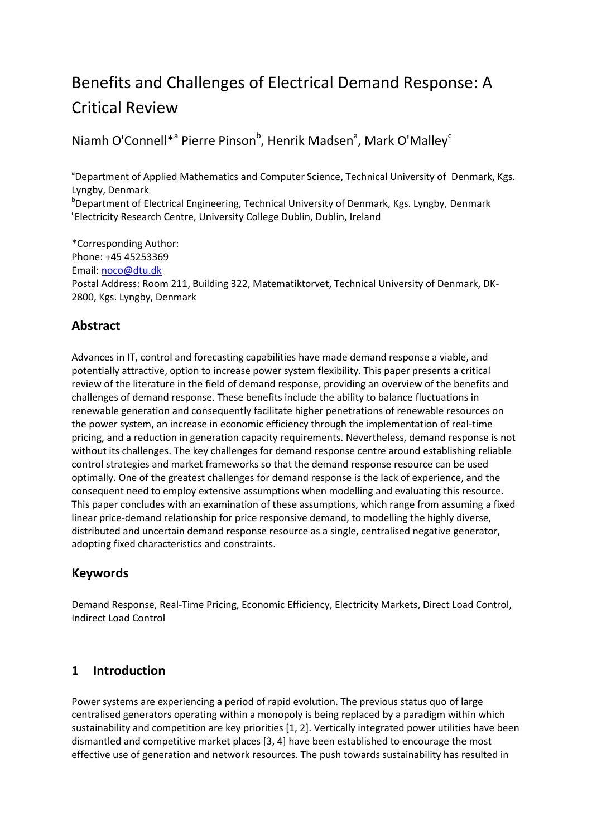# Benefits and Challenges of Electrical Demand Response: A Critical Review

Niamh O'Connell\*<sup>a</sup> Pierre Pinson<sup>b</sup>, Henrik Madsen<sup>a</sup>, Mark O'Malley<sup>c</sup>

<sup>a</sup>Department of Applied Mathematics and Computer Science, Technical University of Denmark, Kgs. Lyngby, Denmark

<sup>b</sup>Department of Electrical Engineering, Technical University of Denmark, Kgs. Lyngby, Denmark <sup>c</sup>Electricity Research Centre, University College Dublin, Dublin, Ireland

\*Corresponding Author: Phone: +45 45253369 Email: [noco@dtu.dk](mailto:noco@dtu.dk) Postal Address: Room 211, Building 322, Matematiktorvet, Technical University of Denmark, DK-2800, Kgs. Lyngby, Denmark

# **Abstract**

Advances in IT, control and forecasting capabilities have made demand response a viable, and potentially attractive, option to increase power system flexibility. This paper presents a critical review of the literature in the field of demand response, providing an overview of the benefits and challenges of demand response. These benefits include the ability to balance fluctuations in renewable generation and consequently facilitate higher penetrations of renewable resources on the power system, an increase in economic efficiency through the implementation of real-time pricing, and a reduction in generation capacity requirements. Nevertheless, demand response is not without its challenges. The key challenges for demand response centre around establishing reliable control strategies and market frameworks so that the demand response resource can be used optimally. One of the greatest challenges for demand response is the lack of experience, and the consequent need to employ extensive assumptions when modelling and evaluating this resource. This paper concludes with an examination of these assumptions, which range from assuming a fixed linear price-demand relationship for price responsive demand, to modelling the highly diverse, distributed and uncertain demand response resource as a single, centralised negative generator, adopting fixed characteristics and constraints.

# **Keywords**

Demand Response, Real-Time Pricing, Economic Efficiency, Electricity Markets, Direct Load Control, Indirect Load Control

# **1 Introduction**

Power systems are experiencing a period of rapid evolution. The previous status quo of large centralised generators operating within a monopoly is being replaced by a paradigm within which sustainability and competition are key priorities [1, 2]. Vertically integrated power utilities have been dismantled and competitive market places [3, 4] have been established to encourage the most effective use of generation and network resources. The push towards sustainability has resulted in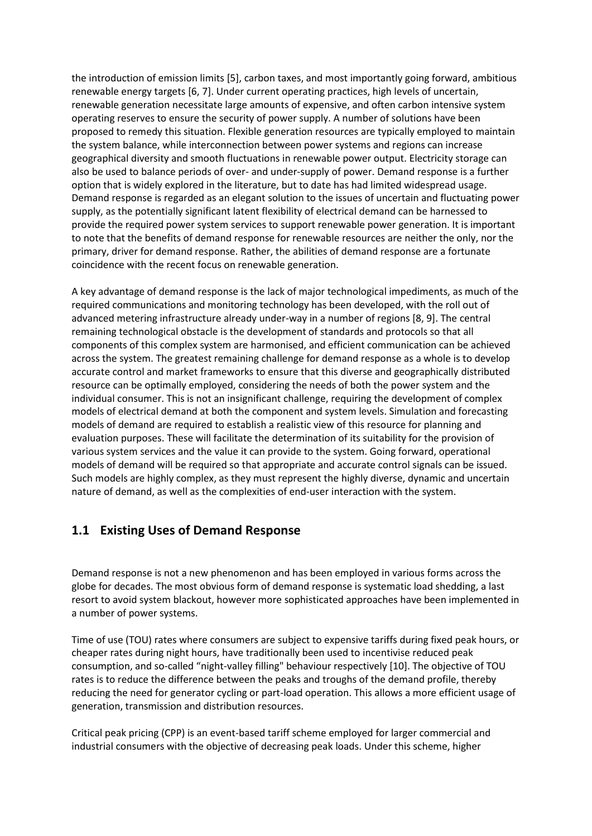the introduction of emission limits [5], carbon taxes, and most importantly going forward, ambitious renewable energy targets [6, 7]. Under current operating practices, high levels of uncertain, renewable generation necessitate large amounts of expensive, and often carbon intensive system operating reserves to ensure the security of power supply. A number of solutions have been proposed to remedy this situation. Flexible generation resources are typically employed to maintain the system balance, while interconnection between power systems and regions can increase geographical diversity and smooth fluctuations in renewable power output. Electricity storage can also be used to balance periods of over- and under-supply of power. Demand response is a further option that is widely explored in the literature, but to date has had limited widespread usage. Demand response is regarded as an elegant solution to the issues of uncertain and fluctuating power supply, as the potentially significant latent flexibility of electrical demand can be harnessed to provide the required power system services to support renewable power generation. It is important to note that the benefits of demand response for renewable resources are neither the only, nor the primary, driver for demand response. Rather, the abilities of demand response are a fortunate coincidence with the recent focus on renewable generation.

A key advantage of demand response is the lack of major technological impediments, as much of the required communications and monitoring technology has been developed, with the roll out of advanced metering infrastructure already under-way in a number of regions [8, 9]. The central remaining technological obstacle is the development of standards and protocols so that all components of this complex system are harmonised, and efficient communication can be achieved across the system. The greatest remaining challenge for demand response as a whole is to develop accurate control and market frameworks to ensure that this diverse and geographically distributed resource can be optimally employed, considering the needs of both the power system and the individual consumer. This is not an insignificant challenge, requiring the development of complex models of electrical demand at both the component and system levels. Simulation and forecasting models of demand are required to establish a realistic view of this resource for planning and evaluation purposes. These will facilitate the determination of its suitability for the provision of various system services and the value it can provide to the system. Going forward, operational models of demand will be required so that appropriate and accurate control signals can be issued. Such models are highly complex, as they must represent the highly diverse, dynamic and uncertain nature of demand, as well as the complexities of end-user interaction with the system.

## **1.1 Existing Uses of Demand Response**

Demand response is not a new phenomenon and has been employed in various forms across the globe for decades. The most obvious form of demand response is systematic load shedding, a last resort to avoid system blackout, however more sophisticated approaches have been implemented in a number of power systems.

Time of use (TOU) rates where consumers are subject to expensive tariffs during fixed peak hours, or cheaper rates during night hours, have traditionally been used to incentivise reduced peak consumption, and so-called "night-valley filling" behaviour respectively [10]. The objective of TOU rates is to reduce the difference between the peaks and troughs of the demand profile, thereby reducing the need for generator cycling or part-load operation. This allows a more efficient usage of generation, transmission and distribution resources.

Critical peak pricing (CPP) is an event-based tariff scheme employed for larger commercial and industrial consumers with the objective of decreasing peak loads. Under this scheme, higher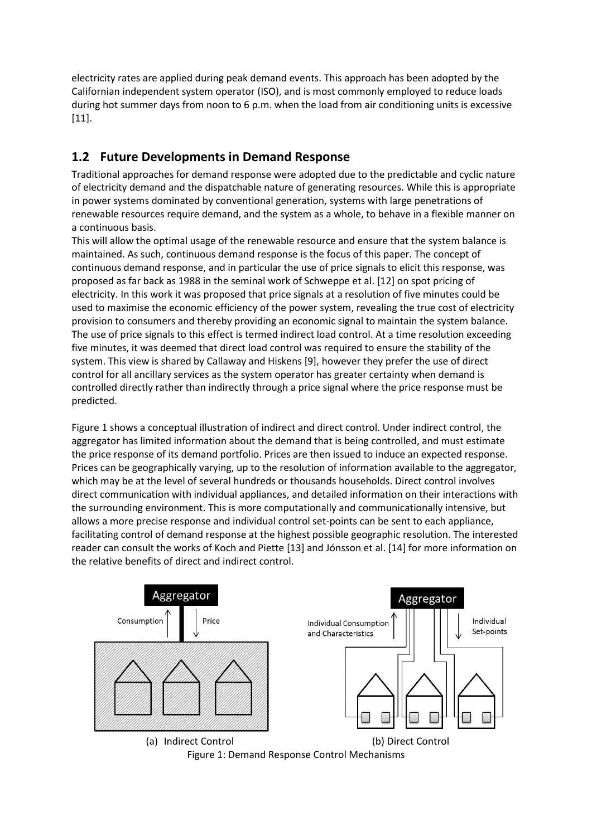electricity rates are applied during peak demand events. This approach has been adopted by the Californian independent system operator (ISO), and is most commonly employed to reduce loads during hot summer days from noon to 6 p.m. when the load from air conditioning units is excessive [11].

# **1.2 Future Developments in Demand Response**

Traditional approaches for demand response were adopted due to the predictable and cyclic nature of electricity demand and the dispatchable nature of generating resources. While this is appropriate in power systems dominated by conventional generation, systems with large penetrations of renewable resources require demand, and the system as a whole, to behave in a flexible manner on a continuous basis.

This will allow the optimal usage of the renewable resource and ensure that the system balance is maintained. As such, continuous demand response is the focus of this paper. The concept of continuous demand response, and in particular the use of price signals to elicit this response, was proposed as far back as 1988 in the seminal work of Schweppe et al. [12] on spot pricing of electricity. In this work it was proposed that price signals at a resolution of five minutes could be used to maximise the economic efficiency of the power system, revealing the true cost of electricity provision to consumers and thereby providing an economic signal to maintain the system balance. The use of price signals to this effect is termed indirect load control. At a time resolution exceeding five minutes, it was deemed that direct load control was required to ensure the stability of the system. This view is shared by Callaway and Hiskens [9], however they prefer the use of direct control for all ancillary services as the system operator has greater certainty when demand is controlled directly rather than indirectly through a price signal where the price response must be predicted.

Figure 1 shows a conceptual illustration of indirect and direct control. Under indirect control, the aggregator has limited information about the demand that is being controlled, and must estimate the price response of its demand portfolio. Prices are then issued to induce an expected response. Prices can be geographically varying, up to the resolution of information available to the aggregator, which may be at the level of several hundreds or thousands households. Direct control involves direct communication with individual appliances, and detailed information on their interactions with the surrounding environment. This is more computationally and communicationally intensive, but allows a more precise response and individual control set-points can be sent to each appliance, facilitating control of demand response at the highest possible geographic resolution. The interested reader can consult the works of Koch and Piette [13] and Jónsson et al. [14] for more information on the relative benefits of direct and indirect control.

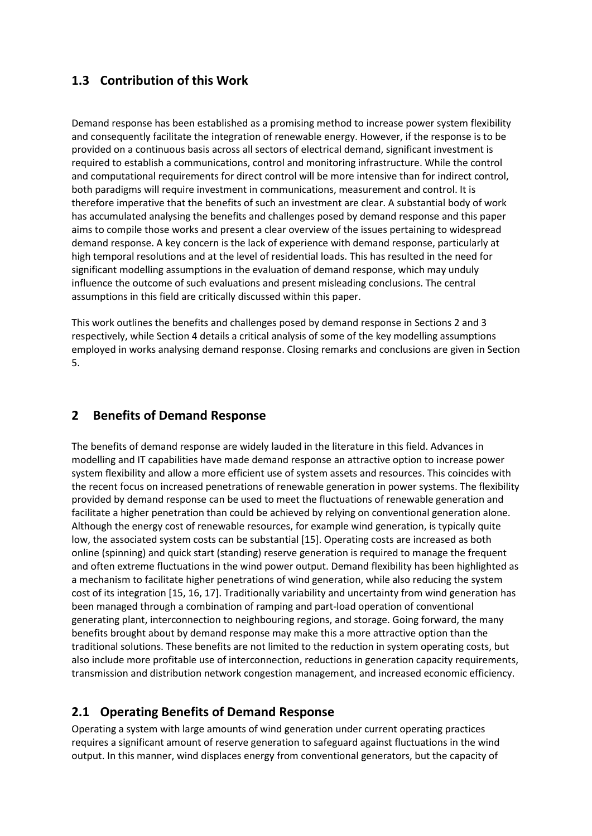# **1.3 Contribution of this Work**

Demand response has been established as a promising method to increase power system flexibility and consequently facilitate the integration of renewable energy. However, if the response is to be provided on a continuous basis across all sectors of electrical demand, significant investment is required to establish a communications, control and monitoring infrastructure. While the control and computational requirements for direct control will be more intensive than for indirect control, both paradigms will require investment in communications, measurement and control. It is therefore imperative that the benefits of such an investment are clear. A substantial body of work has accumulated analysing the benefits and challenges posed by demand response and this paper aims to compile those works and present a clear overview of the issues pertaining to widespread demand response. A key concern is the lack of experience with demand response, particularly at high temporal resolutions and at the level of residential loads. This has resulted in the need for significant modelling assumptions in the evaluation of demand response, which may unduly influence the outcome of such evaluations and present misleading conclusions. The central assumptions in this field are critically discussed within this paper.

This work outlines the benefits and challenges posed by demand response in Sections 2 and 3 respectively, while Section 4 details a critical analysis of some of the key modelling assumptions employed in works analysing demand response. Closing remarks and conclusions are given in Section 5.

## **2 Benefits of Demand Response**

The benefits of demand response are widely lauded in the literature in this field. Advances in modelling and IT capabilities have made demand response an attractive option to increase power system flexibility and allow a more efficient use of system assets and resources. This coincides with the recent focus on increased penetrations of renewable generation in power systems. The flexibility provided by demand response can be used to meet the fluctuations of renewable generation and facilitate a higher penetration than could be achieved by relying on conventional generation alone. Although the energy cost of renewable resources, for example wind generation, is typically quite low, the associated system costs can be substantial [15]. Operating costs are increased as both online (spinning) and quick start (standing) reserve generation is required to manage the frequent and often extreme fluctuations in the wind power output. Demand flexibility has been highlighted as a mechanism to facilitate higher penetrations of wind generation, while also reducing the system cost of its integration [15, 16, 17]. Traditionally variability and uncertainty from wind generation has been managed through a combination of ramping and part-load operation of conventional generating plant, interconnection to neighbouring regions, and storage. Going forward, the many benefits brought about by demand response may make this a more attractive option than the traditional solutions. These benefits are not limited to the reduction in system operating costs, but also include more profitable use of interconnection, reductions in generation capacity requirements, transmission and distribution network congestion management, and increased economic efficiency.

# **2.1 Operating Benefits of Demand Response**

Operating a system with large amounts of wind generation under current operating practices requires a significant amount of reserve generation to safeguard against fluctuations in the wind output. In this manner, wind displaces energy from conventional generators, but the capacity of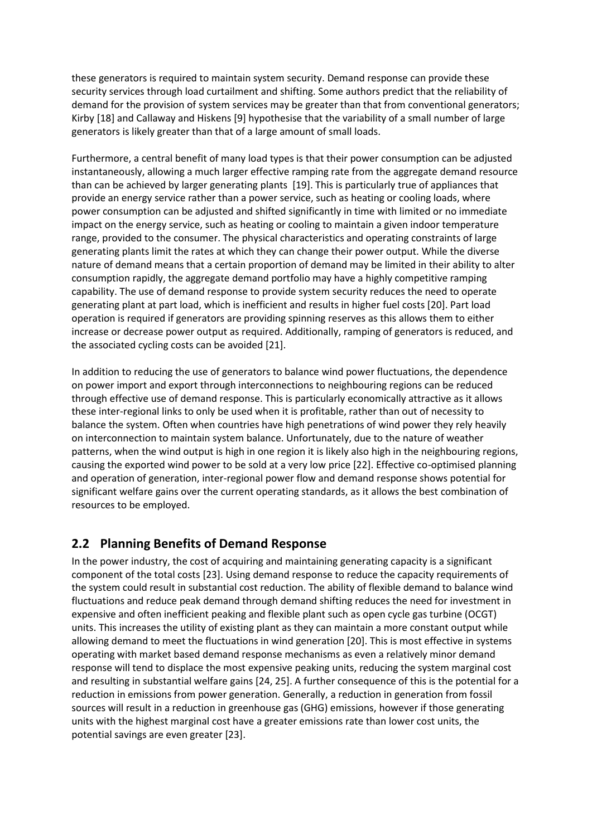these generators is required to maintain system security. Demand response can provide these security services through load curtailment and shifting. Some authors predict that the reliability of demand for the provision of system services may be greater than that from conventional generators; Kirby [18] and Callaway and Hiskens [9] hypothesise that the variability of a small number of large generators is likely greater than that of a large amount of small loads.

Furthermore, a central benefit of many load types is that their power consumption can be adjusted instantaneously, allowing a much larger effective ramping rate from the aggregate demand resource than can be achieved by larger generating plants [19]. This is particularly true of appliances that provide an energy service rather than a power service, such as heating or cooling loads, where power consumption can be adjusted and shifted significantly in time with limited or no immediate impact on the energy service, such as heating or cooling to maintain a given indoor temperature range, provided to the consumer. The physical characteristics and operating constraints of large generating plants limit the rates at which they can change their power output. While the diverse nature of demand means that a certain proportion of demand may be limited in their ability to alter consumption rapidly, the aggregate demand portfolio may have a highly competitive ramping capability. The use of demand response to provide system security reduces the need to operate generating plant at part load, which is inefficient and results in higher fuel costs [20]. Part load operation is required if generators are providing spinning reserves as this allows them to either increase or decrease power output as required. Additionally, ramping of generators is reduced, and the associated cycling costs can be avoided [21].

In addition to reducing the use of generators to balance wind power fluctuations, the dependence on power import and export through interconnections to neighbouring regions can be reduced through effective use of demand response. This is particularly economically attractive as it allows these inter-regional links to only be used when it is profitable, rather than out of necessity to balance the system. Often when countries have high penetrations of wind power they rely heavily on interconnection to maintain system balance. Unfortunately, due to the nature of weather patterns, when the wind output is high in one region it is likely also high in the neighbouring regions, causing the exported wind power to be sold at a very low price [22]. Effective co-optimised planning and operation of generation, inter-regional power flow and demand response shows potential for significant welfare gains over the current operating standards, as it allows the best combination of resources to be employed.

## **2.2 Planning Benefits of Demand Response**

In the power industry, the cost of acquiring and maintaining generating capacity is a significant component of the total costs [23]. Using demand response to reduce the capacity requirements of the system could result in substantial cost reduction. The ability of flexible demand to balance wind fluctuations and reduce peak demand through demand shifting reduces the need for investment in expensive and often inefficient peaking and flexible plant such as open cycle gas turbine (OCGT) units. This increases the utility of existing plant as they can maintain a more constant output while allowing demand to meet the fluctuations in wind generation [20]. This is most effective in systems operating with market based demand response mechanisms as even a relatively minor demand response will tend to displace the most expensive peaking units, reducing the system marginal cost and resulting in substantial welfare gains [24, 25]. A further consequence of this is the potential for a reduction in emissions from power generation. Generally, a reduction in generation from fossil sources will result in a reduction in greenhouse gas (GHG) emissions, however if those generating units with the highest marginal cost have a greater emissions rate than lower cost units, the potential savings are even greater [23].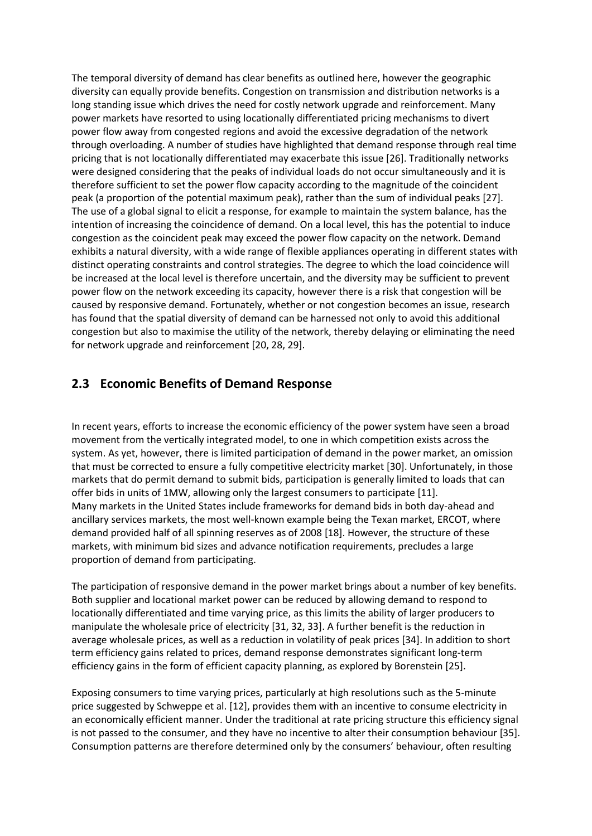The temporal diversity of demand has clear benefits as outlined here, however the geographic diversity can equally provide benefits. Congestion on transmission and distribution networks is a long standing issue which drives the need for costly network upgrade and reinforcement. Many power markets have resorted to using locationally differentiated pricing mechanisms to divert power flow away from congested regions and avoid the excessive degradation of the network through overloading. A number of studies have highlighted that demand response through real time pricing that is not locationally differentiated may exacerbate this issue [26]. Traditionally networks were designed considering that the peaks of individual loads do not occur simultaneously and it is therefore sufficient to set the power flow capacity according to the magnitude of the coincident peak (a proportion of the potential maximum peak), rather than the sum of individual peaks [27]. The use of a global signal to elicit a response, for example to maintain the system balance, has the intention of increasing the coincidence of demand. On a local level, this has the potential to induce congestion as the coincident peak may exceed the power flow capacity on the network. Demand exhibits a natural diversity, with a wide range of flexible appliances operating in different states with distinct operating constraints and control strategies. The degree to which the load coincidence will be increased at the local level is therefore uncertain, and the diversity may be sufficient to prevent power flow on the network exceeding its capacity, however there is a risk that congestion will be caused by responsive demand. Fortunately, whether or not congestion becomes an issue, research has found that the spatial diversity of demand can be harnessed not only to avoid this additional congestion but also to maximise the utility of the network, thereby delaying or eliminating the need for network upgrade and reinforcement [20, 28, 29].

#### **2.3 Economic Benefits of Demand Response**

In recent years, efforts to increase the economic efficiency of the power system have seen a broad movement from the vertically integrated model, to one in which competition exists across the system. As yet, however, there is limited participation of demand in the power market, an omission that must be corrected to ensure a fully competitive electricity market [30]. Unfortunately, in those markets that do permit demand to submit bids, participation is generally limited to loads that can offer bids in units of 1MW, allowing only the largest consumers to participate [11]. Many markets in the United States include frameworks for demand bids in both day-ahead and ancillary services markets, the most well-known example being the Texan market, ERCOT, where demand provided half of all spinning reserves as of 2008 [18]. However, the structure of these markets, with minimum bid sizes and advance notification requirements, precludes a large proportion of demand from participating.

The participation of responsive demand in the power market brings about a number of key benefits. Both supplier and locational market power can be reduced by allowing demand to respond to locationally differentiated and time varying price, as this limits the ability of larger producers to manipulate the wholesale price of electricity [31, 32, 33]. A further benefit is the reduction in average wholesale prices, as well as a reduction in volatility of peak prices [34]. In addition to short term efficiency gains related to prices, demand response demonstrates significant long-term efficiency gains in the form of efficient capacity planning, as explored by Borenstein [25].

Exposing consumers to time varying prices, particularly at high resolutions such as the 5-minute price suggested by Schweppe et al. [12], provides them with an incentive to consume electricity in an economically efficient manner. Under the traditional at rate pricing structure this efficiency signal is not passed to the consumer, and they have no incentive to alter their consumption behaviour [35]. Consumption patterns are therefore determined only by the consumers' behaviour, often resulting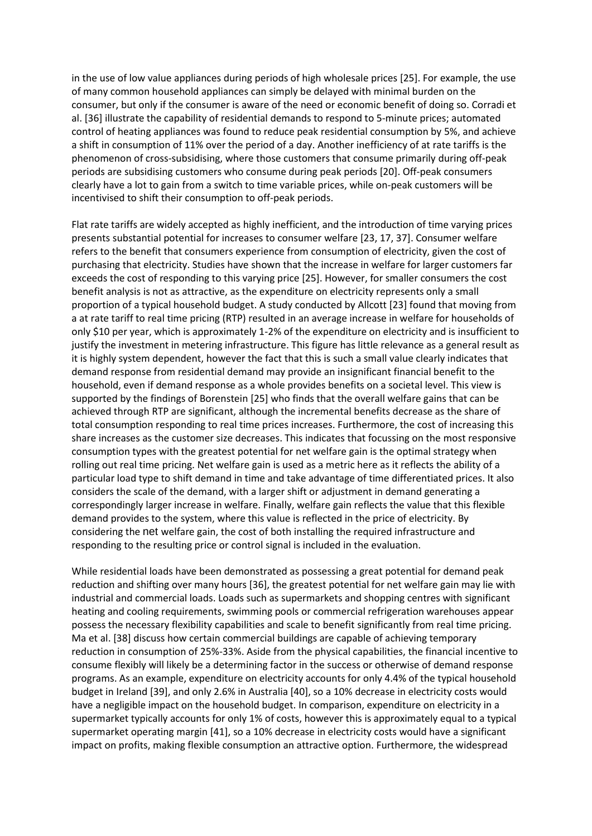in the use of low value appliances during periods of high wholesale prices [25]. For example, the use of many common household appliances can simply be delayed with minimal burden on the consumer, but only if the consumer is aware of the need or economic benefit of doing so. Corradi et al. [36] illustrate the capability of residential demands to respond to 5-minute prices; automated control of heating appliances was found to reduce peak residential consumption by 5%, and achieve a shift in consumption of 11% over the period of a day. Another inefficiency of at rate tariffs is the phenomenon of cross-subsidising, where those customers that consume primarily during off-peak periods are subsidising customers who consume during peak periods [20]. Off-peak consumers clearly have a lot to gain from a switch to time variable prices, while on-peak customers will be incentivised to shift their consumption to off-peak periods.

Flat rate tariffs are widely accepted as highly inefficient, and the introduction of time varying prices presents substantial potential for increases to consumer welfare [23, 17, 37]. Consumer welfare refers to the benefit that consumers experience from consumption of electricity, given the cost of purchasing that electricity. Studies have shown that the increase in welfare for larger customers far exceeds the cost of responding to this varying price [25]. However, for smaller consumers the cost benefit analysis is not as attractive, as the expenditure on electricity represents only a small proportion of a typical household budget. A study conducted by Allcott [23] found that moving from a at rate tariff to real time pricing (RTP) resulted in an average increase in welfare for households of only \$10 per year, which is approximately 1-2% of the expenditure on electricity and is insufficient to justify the investment in metering infrastructure. This figure has little relevance as a general result as it is highly system dependent, however the fact that this is such a small value clearly indicates that demand response from residential demand may provide an insignificant financial benefit to the household, even if demand response as a whole provides benefits on a societal level. This view is supported by the findings of Borenstein [25] who finds that the overall welfare gains that can be achieved through RTP are significant, although the incremental benefits decrease as the share of total consumption responding to real time prices increases. Furthermore, the cost of increasing this share increases as the customer size decreases. This indicates that focussing on the most responsive consumption types with the greatest potential for net welfare gain is the optimal strategy when rolling out real time pricing. Net welfare gain is used as a metric here as it reflects the ability of a particular load type to shift demand in time and take advantage of time differentiated prices. It also considers the scale of the demand, with a larger shift or adjustment in demand generating a correspondingly larger increase in welfare. Finally, welfare gain reflects the value that this flexible demand provides to the system, where this value is reflected in the price of electricity. By considering the net welfare gain, the cost of both installing the required infrastructure and responding to the resulting price or control signal is included in the evaluation.

While residential loads have been demonstrated as possessing a great potential for demand peak reduction and shifting over many hours [36], the greatest potential for net welfare gain may lie with industrial and commercial loads. Loads such as supermarkets and shopping centres with significant heating and cooling requirements, swimming pools or commercial refrigeration warehouses appear possess the necessary flexibility capabilities and scale to benefit significantly from real time pricing. Ma et al. [38] discuss how certain commercial buildings are capable of achieving temporary reduction in consumption of 25%-33%. Aside from the physical capabilities, the financial incentive to consume flexibly will likely be a determining factor in the success or otherwise of demand response programs. As an example, expenditure on electricity accounts for only 4.4% of the typical household budget in Ireland [39], and only 2.6% in Australia [40], so a 10% decrease in electricity costs would have a negligible impact on the household budget. In comparison, expenditure on electricity in a supermarket typically accounts for only 1% of costs, however this is approximately equal to a typical supermarket operating margin [41], so a 10% decrease in electricity costs would have a significant impact on profits, making flexible consumption an attractive option. Furthermore, the widespread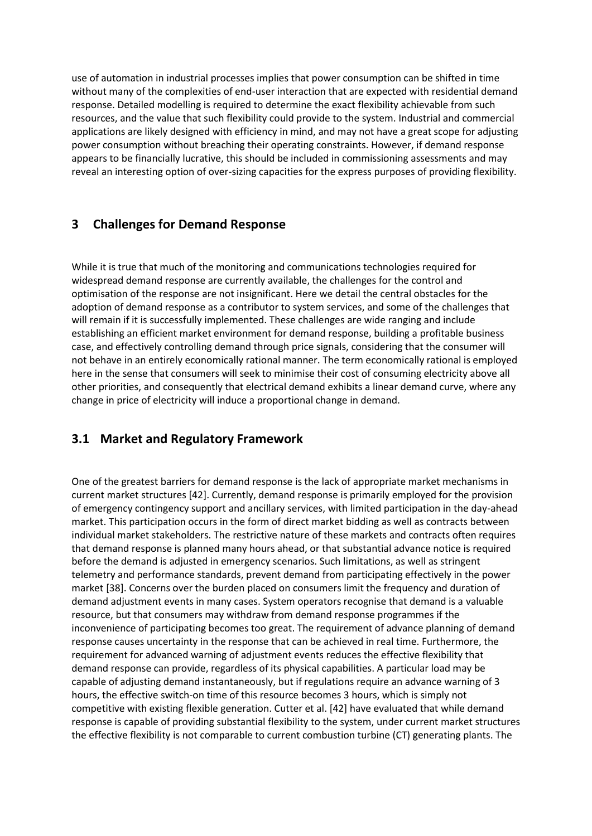use of automation in industrial processes implies that power consumption can be shifted in time without many of the complexities of end-user interaction that are expected with residential demand response. Detailed modelling is required to determine the exact flexibility achievable from such resources, and the value that such flexibility could provide to the system. Industrial and commercial applications are likely designed with efficiency in mind, and may not have a great scope for adjusting power consumption without breaching their operating constraints. However, if demand response appears to be financially lucrative, this should be included in commissioning assessments and may reveal an interesting option of over-sizing capacities for the express purposes of providing flexibility.

## **3 Challenges for Demand Response**

While it is true that much of the monitoring and communications technologies required for widespread demand response are currently available, the challenges for the control and optimisation of the response are not insignificant. Here we detail the central obstacles for the adoption of demand response as a contributor to system services, and some of the challenges that will remain if it is successfully implemented. These challenges are wide ranging and include establishing an efficient market environment for demand response, building a profitable business case, and effectively controlling demand through price signals, considering that the consumer will not behave in an entirely economically rational manner. The term economically rational is employed here in the sense that consumers will seek to minimise their cost of consuming electricity above all other priorities, and consequently that electrical demand exhibits a linear demand curve, where any change in price of electricity will induce a proportional change in demand.

# **3.1 Market and Regulatory Framework**

One of the greatest barriers for demand response is the lack of appropriate market mechanisms in current market structures [42]. Currently, demand response is primarily employed for the provision of emergency contingency support and ancillary services, with limited participation in the day-ahead market. This participation occurs in the form of direct market bidding as well as contracts between individual market stakeholders. The restrictive nature of these markets and contracts often requires that demand response is planned many hours ahead, or that substantial advance notice is required before the demand is adjusted in emergency scenarios. Such limitations, as well as stringent telemetry and performance standards, prevent demand from participating effectively in the power market [38]. Concerns over the burden placed on consumers limit the frequency and duration of demand adjustment events in many cases. System operators recognise that demand is a valuable resource, but that consumers may withdraw from demand response programmes if the inconvenience of participating becomes too great. The requirement of advance planning of demand response causes uncertainty in the response that can be achieved in real time. Furthermore, the requirement for advanced warning of adjustment events reduces the effective flexibility that demand response can provide, regardless of its physical capabilities. A particular load may be capable of adjusting demand instantaneously, but if regulations require an advance warning of 3 hours, the effective switch-on time of this resource becomes 3 hours, which is simply not competitive with existing flexible generation. Cutter et al. [42] have evaluated that while demand response is capable of providing substantial flexibility to the system, under current market structures the effective flexibility is not comparable to current combustion turbine (CT) generating plants. The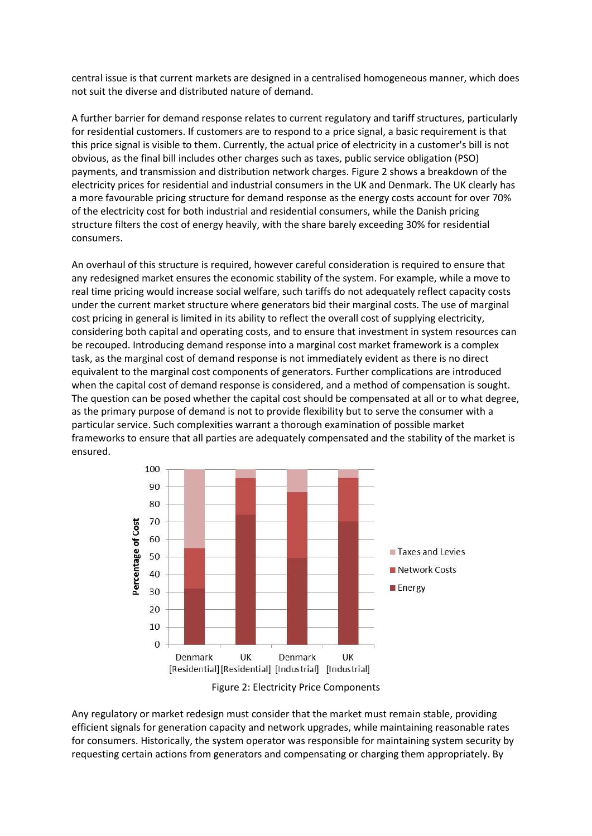central issue is that current markets are designed in a centralised homogeneous manner, which does not suit the diverse and distributed nature of demand.

A further barrier for demand response relates to current regulatory and tariff structures, particularly for residential customers. If customers are to respond to a price signal, a basic requirement is that this price signal is visible to them. Currently, the actual price of electricity in a customer's bill is not obvious, as the final bill includes other charges such as taxes, public service obligation (PSO) payments, and transmission and distribution network charges. Figure 2 shows a breakdown of the electricity prices for residential and industrial consumers in the UK and Denmark. The UK clearly has a more favourable pricing structure for demand response as the energy costs account for over 70% of the electricity cost for both industrial and residential consumers, while the Danish pricing structure filters the cost of energy heavily, with the share barely exceeding 30% for residential consumers.

An overhaul of this structure is required, however careful consideration is required to ensure that any redesigned market ensures the economic stability of the system. For example, while a move to real time pricing would increase social welfare, such tariffs do not adequately reflect capacity costs under the current market structure where generators bid their marginal costs. The use of marginal cost pricing in general is limited in its ability to reflect the overall cost of supplying electricity, considering both capital and operating costs, and to ensure that investment in system resources can be recouped. Introducing demand response into a marginal cost market framework is a complex task, as the marginal cost of demand response is not immediately evident as there is no direct equivalent to the marginal cost components of generators. Further complications are introduced when the capital cost of demand response is considered, and a method of compensation is sought. The question can be posed whether the capital cost should be compensated at all or to what degree, as the primary purpose of demand is not to provide flexibility but to serve the consumer with a particular service. Such complexities warrant a thorough examination of possible market frameworks to ensure that all parties are adequately compensated and the stability of the market is ensured.



Figure 2: Electricity Price Components

Any regulatory or market redesign must consider that the market must remain stable, providing efficient signals for generation capacity and network upgrades, while maintaining reasonable rates for consumers. Historically, the system operator was responsible for maintaining system security by requesting certain actions from generators and compensating or charging them appropriately. By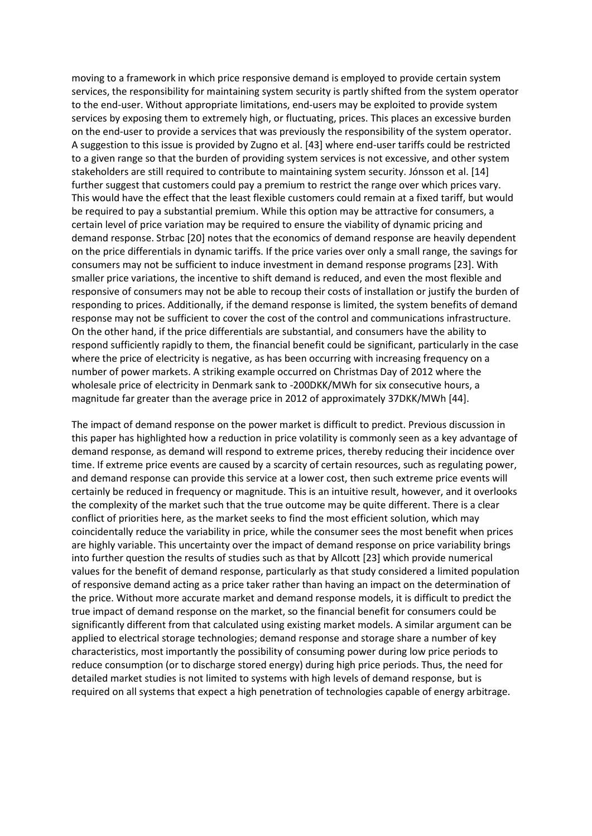moving to a framework in which price responsive demand is employed to provide certain system services, the responsibility for maintaining system security is partly shifted from the system operator to the end-user. Without appropriate limitations, end-users may be exploited to provide system services by exposing them to extremely high, or fluctuating, prices. This places an excessive burden on the end-user to provide a services that was previously the responsibility of the system operator. A suggestion to this issue is provided by Zugno et al. [43] where end-user tariffs could be restricted to a given range so that the burden of providing system services is not excessive, and other system stakeholders are still required to contribute to maintaining system security. Jónsson et al. [14] further suggest that customers could pay a premium to restrict the range over which prices vary. This would have the effect that the least flexible customers could remain at a fixed tariff, but would be required to pay a substantial premium. While this option may be attractive for consumers, a certain level of price variation may be required to ensure the viability of dynamic pricing and demand response. Strbac [20] notes that the economics of demand response are heavily dependent on the price differentials in dynamic tariffs. If the price varies over only a small range, the savings for consumers may not be sufficient to induce investment in demand response programs [23]. With smaller price variations, the incentive to shift demand is reduced, and even the most flexible and responsive of consumers may not be able to recoup their costs of installation or justify the burden of responding to prices. Additionally, if the demand response is limited, the system benefits of demand response may not be sufficient to cover the cost of the control and communications infrastructure. On the other hand, if the price differentials are substantial, and consumers have the ability to respond sufficiently rapidly to them, the financial benefit could be significant, particularly in the case where the price of electricity is negative, as has been occurring with increasing frequency on a number of power markets. A striking example occurred on Christmas Day of 2012 where the wholesale price of electricity in Denmark sank to -200DKK/MWh for six consecutive hours, a magnitude far greater than the average price in 2012 of approximately 37DKK/MWh [44].

The impact of demand response on the power market is difficult to predict. Previous discussion in this paper has highlighted how a reduction in price volatility is commonly seen as a key advantage of demand response, as demand will respond to extreme prices, thereby reducing their incidence over time. If extreme price events are caused by a scarcity of certain resources, such as regulating power, and demand response can provide this service at a lower cost, then such extreme price events will certainly be reduced in frequency or magnitude. This is an intuitive result, however, and it overlooks the complexity of the market such that the true outcome may be quite different. There is a clear conflict of priorities here, as the market seeks to find the most efficient solution, which may coincidentally reduce the variability in price, while the consumer sees the most benefit when prices are highly variable. This uncertainty over the impact of demand response on price variability brings into further question the results of studies such as that by Allcott [23] which provide numerical values for the benefit of demand response, particularly as that study considered a limited population of responsive demand acting as a price taker rather than having an impact on the determination of the price. Without more accurate market and demand response models, it is difficult to predict the true impact of demand response on the market, so the financial benefit for consumers could be significantly different from that calculated using existing market models. A similar argument can be applied to electrical storage technologies; demand response and storage share a number of key characteristics, most importantly the possibility of consuming power during low price periods to reduce consumption (or to discharge stored energy) during high price periods. Thus, the need for detailed market studies is not limited to systems with high levels of demand response, but is required on all systems that expect a high penetration of technologies capable of energy arbitrage.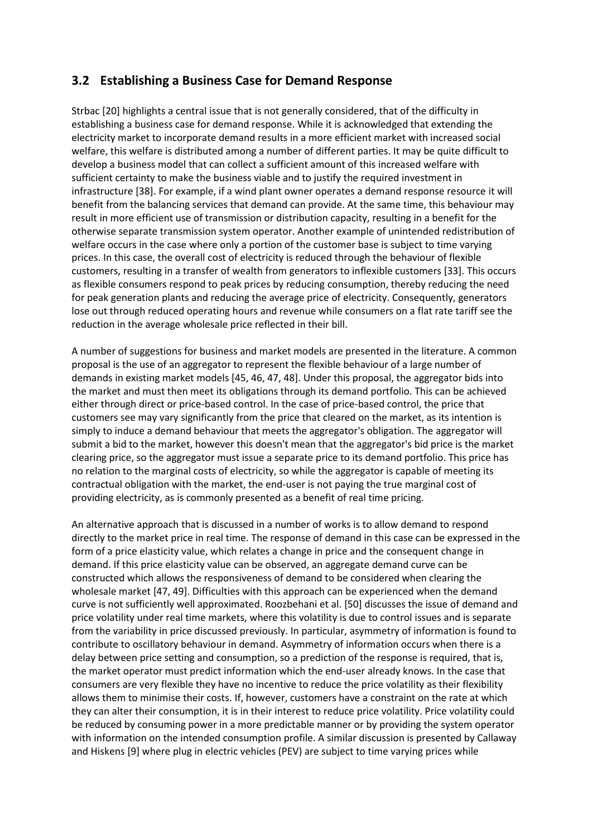## **3.2 Establishing a Business Case for Demand Response**

Strbac [20] highlights a central issue that is not generally considered, that of the difficulty in establishing a business case for demand response. While it is acknowledged that extending the electricity market to incorporate demand results in a more efficient market with increased social welfare, this welfare is distributed among a number of different parties. It may be quite difficult to develop a business model that can collect a sufficient amount of this increased welfare with sufficient certainty to make the business viable and to justify the required investment in infrastructure [38]. For example, if a wind plant owner operates a demand response resource it will benefit from the balancing services that demand can provide. At the same time, this behaviour may result in more efficient use of transmission or distribution capacity, resulting in a benefit for the otherwise separate transmission system operator. Another example of unintended redistribution of welfare occurs in the case where only a portion of the customer base is subject to time varying prices. In this case, the overall cost of electricity is reduced through the behaviour of flexible customers, resulting in a transfer of wealth from generators to inflexible customers [33]. This occurs as flexible consumers respond to peak prices by reducing consumption, thereby reducing the need for peak generation plants and reducing the average price of electricity. Consequently, generators lose out through reduced operating hours and revenue while consumers on a flat rate tariff see the reduction in the average wholesale price reflected in their bill.

A number of suggestions for business and market models are presented in the literature. A common proposal is the use of an aggregator to represent the flexible behaviour of a large number of demands in existing market models [45, 46, 47, 48]. Under this proposal, the aggregator bids into the market and must then meet its obligations through its demand portfolio. This can be achieved either through direct or price-based control. In the case of price-based control, the price that customers see may vary significantly from the price that cleared on the market, as its intention is simply to induce a demand behaviour that meets the aggregator's obligation. The aggregator will submit a bid to the market, however this doesn't mean that the aggregator's bid price is the market clearing price, so the aggregator must issue a separate price to its demand portfolio. This price has no relation to the marginal costs of electricity, so while the aggregator is capable of meeting its contractual obligation with the market, the end-user is not paying the true marginal cost of providing electricity, as is commonly presented as a benefit of real time pricing.

An alternative approach that is discussed in a number of works is to allow demand to respond directly to the market price in real time. The response of demand in this case can be expressed in the form of a price elasticity value, which relates a change in price and the consequent change in demand. If this price elasticity value can be observed, an aggregate demand curve can be constructed which allows the responsiveness of demand to be considered when clearing the wholesale market [47, 49]. Difficulties with this approach can be experienced when the demand curve is not sufficiently well approximated. Roozbehani et al. [50] discusses the issue of demand and price volatility under real time markets, where this volatility is due to control issues and is separate from the variability in price discussed previously. In particular, asymmetry of information is found to contribute to oscillatory behaviour in demand. Asymmetry of information occurs when there is a delay between price setting and consumption, so a prediction of the response is required, that is, the market operator must predict information which the end-user already knows. In the case that consumers are very flexible they have no incentive to reduce the price volatility as their flexibility allows them to minimise their costs. If, however, customers have a constraint on the rate at which they can alter their consumption, it is in their interest to reduce price volatility. Price volatility could be reduced by consuming power in a more predictable manner or by providing the system operator with information on the intended consumption profile. A similar discussion is presented by Callaway and Hiskens [9] where plug in electric vehicles (PEV) are subject to time varying prices while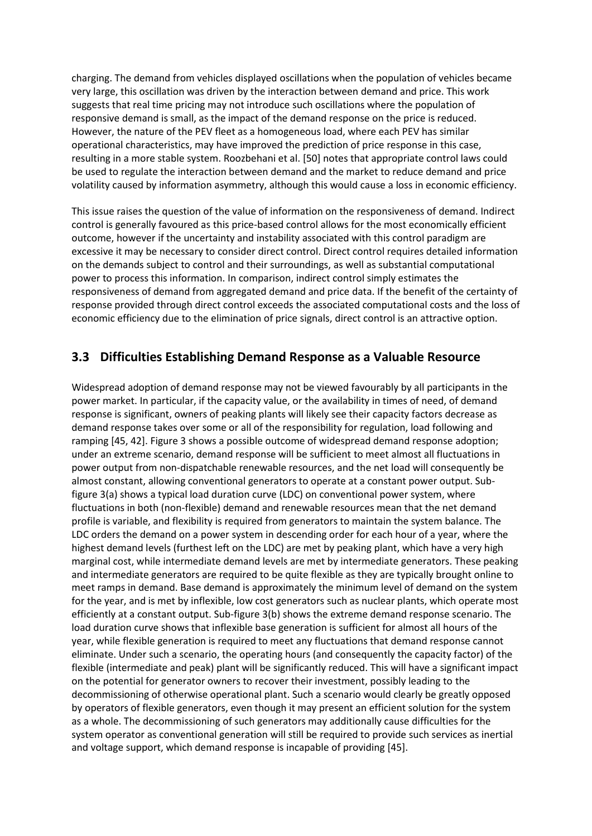charging. The demand from vehicles displayed oscillations when the population of vehicles became very large, this oscillation was driven by the interaction between demand and price. This work suggests that real time pricing may not introduce such oscillations where the population of responsive demand is small, as the impact of the demand response on the price is reduced. However, the nature of the PEV fleet as a homogeneous load, where each PEV has similar operational characteristics, may have improved the prediction of price response in this case, resulting in a more stable system. Roozbehani et al. [50] notes that appropriate control laws could be used to regulate the interaction between demand and the market to reduce demand and price volatility caused by information asymmetry, although this would cause a loss in economic efficiency.

This issue raises the question of the value of information on the responsiveness of demand. Indirect control is generally favoured as this price-based control allows for the most economically efficient outcome, however if the uncertainty and instability associated with this control paradigm are excessive it may be necessary to consider direct control. Direct control requires detailed information on the demands subject to control and their surroundings, as well as substantial computational power to process this information. In comparison, indirect control simply estimates the responsiveness of demand from aggregated demand and price data. If the benefit of the certainty of response provided through direct control exceeds the associated computational costs and the loss of economic efficiency due to the elimination of price signals, direct control is an attractive option.

## **3.3 Difficulties Establishing Demand Response as a Valuable Resource**

Widespread adoption of demand response may not be viewed favourably by all participants in the power market. In particular, if the capacity value, or the availability in times of need, of demand response is significant, owners of peaking plants will likely see their capacity factors decrease as demand response takes over some or all of the responsibility for regulation, load following and ramping [45, 42]. Figure 3 shows a possible outcome of widespread demand response adoption; under an extreme scenario, demand response will be sufficient to meet almost all fluctuations in power output from non-dispatchable renewable resources, and the net load will consequently be almost constant, allowing conventional generators to operate at a constant power output. Subfigure 3(a) shows a typical load duration curve (LDC) on conventional power system, where fluctuations in both (non-flexible) demand and renewable resources mean that the net demand profile is variable, and flexibility is required from generators to maintain the system balance. The LDC orders the demand on a power system in descending order for each hour of a year, where the highest demand levels (furthest left on the LDC) are met by peaking plant, which have a very high marginal cost, while intermediate demand levels are met by intermediate generators. These peaking and intermediate generators are required to be quite flexible as they are typically brought online to meet ramps in demand. Base demand is approximately the minimum level of demand on the system for the year, and is met by inflexible, low cost generators such as nuclear plants, which operate most efficiently at a constant output. Sub-figure 3(b) shows the extreme demand response scenario. The load duration curve shows that inflexible base generation is sufficient for almost all hours of the year, while flexible generation is required to meet any fluctuations that demand response cannot eliminate. Under such a scenario, the operating hours (and consequently the capacity factor) of the flexible (intermediate and peak) plant will be significantly reduced. This will have a significant impact on the potential for generator owners to recover their investment, possibly leading to the decommissioning of otherwise operational plant. Such a scenario would clearly be greatly opposed by operators of flexible generators, even though it may present an efficient solution for the system as a whole. The decommissioning of such generators may additionally cause difficulties for the system operator as conventional generation will still be required to provide such services as inertial and voltage support, which demand response is incapable of providing [45].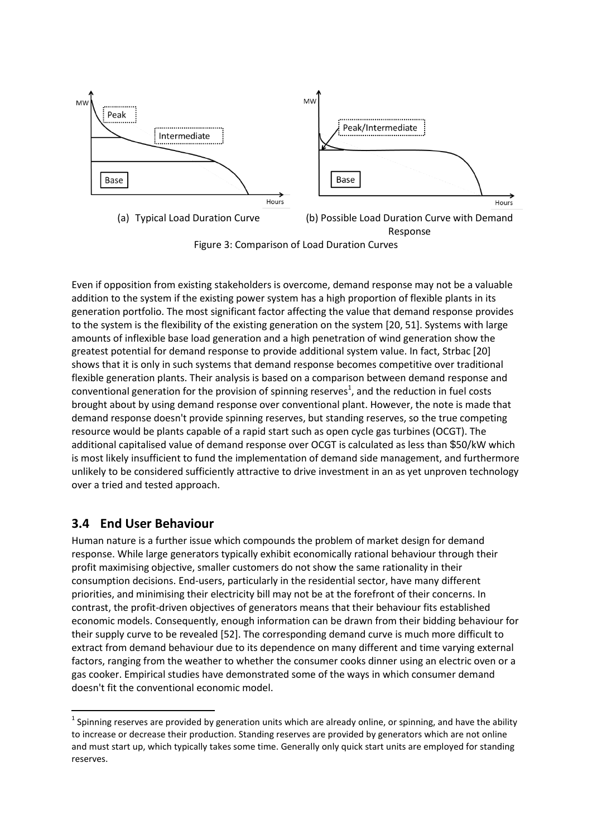

Figure 3: Comparison of Load Duration Curves

Even if opposition from existing stakeholders is overcome, demand response may not be a valuable addition to the system if the existing power system has a high proportion of flexible plants in its generation portfolio. The most significant factor affecting the value that demand response provides to the system is the flexibility of the existing generation on the system [20, 51]. Systems with large amounts of inflexible base load generation and a high penetration of wind generation show the greatest potential for demand response to provide additional system value. In fact, Strbac [20] shows that it is only in such systems that demand response becomes competitive over traditional flexible generation plants. Their analysis is based on a comparison between demand response and conventional generation for the provision of spinning reserves<sup>1</sup>, and the reduction in fuel costs brought about by using demand response over conventional plant. However, the note is made that demand response doesn't provide spinning reserves, but standing reserves, so the true competing resource would be plants capable of a rapid start such as open cycle gas turbines (OCGT). The additional capitalised value of demand response over OCGT is calculated as less than \$50/kW which is most likely insufficient to fund the implementation of demand side management, and furthermore unlikely to be considered sufficiently attractive to drive investment in an as yet unproven technology over a tried and tested approach.

## **3.4 End User Behaviour**

**.** 

Human nature is a further issue which compounds the problem of market design for demand response. While large generators typically exhibit economically rational behaviour through their profit maximising objective, smaller customers do not show the same rationality in their consumption decisions. End-users, particularly in the residential sector, have many different priorities, and minimising their electricity bill may not be at the forefront of their concerns. In contrast, the profit-driven objectives of generators means that their behaviour fits established economic models. Consequently, enough information can be drawn from their bidding behaviour for their supply curve to be revealed [52]. The corresponding demand curve is much more difficult to extract from demand behaviour due to its dependence on many different and time varying external factors, ranging from the weather to whether the consumer cooks dinner using an electric oven or a gas cooker. Empirical studies have demonstrated some of the ways in which consumer demand doesn't fit the conventional economic model.

 $^1$  Spinning reserves are provided by generation units which are already online, or spinning, and have the ability to increase or decrease their production. Standing reserves are provided by generators which are not online and must start up, which typically takes some time. Generally only quick start units are employed for standing reserves.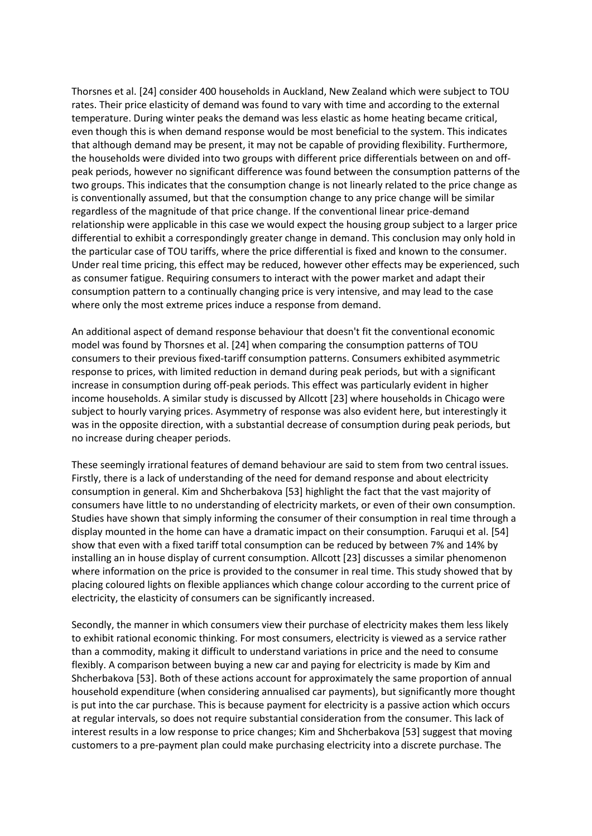Thorsnes et al. [24] consider 400 households in Auckland, New Zealand which were subject to TOU rates. Their price elasticity of demand was found to vary with time and according to the external temperature. During winter peaks the demand was less elastic as home heating became critical, even though this is when demand response would be most beneficial to the system. This indicates that although demand may be present, it may not be capable of providing flexibility. Furthermore, the households were divided into two groups with different price differentials between on and offpeak periods, however no significant difference was found between the consumption patterns of the two groups. This indicates that the consumption change is not linearly related to the price change as is conventionally assumed, but that the consumption change to any price change will be similar regardless of the magnitude of that price change. If the conventional linear price-demand relationship were applicable in this case we would expect the housing group subject to a larger price differential to exhibit a correspondingly greater change in demand. This conclusion may only hold in the particular case of TOU tariffs, where the price differential is fixed and known to the consumer. Under real time pricing, this effect may be reduced, however other effects may be experienced, such as consumer fatigue. Requiring consumers to interact with the power market and adapt their consumption pattern to a continually changing price is very intensive, and may lead to the case where only the most extreme prices induce a response from demand.

An additional aspect of demand response behaviour that doesn't fit the conventional economic model was found by Thorsnes et al. [24] when comparing the consumption patterns of TOU consumers to their previous fixed-tariff consumption patterns. Consumers exhibited asymmetric response to prices, with limited reduction in demand during peak periods, but with a significant increase in consumption during off-peak periods. This effect was particularly evident in higher income households. A similar study is discussed by Allcott [23] where households in Chicago were subject to hourly varying prices. Asymmetry of response was also evident here, but interestingly it was in the opposite direction, with a substantial decrease of consumption during peak periods, but no increase during cheaper periods.

These seemingly irrational features of demand behaviour are said to stem from two central issues. Firstly, there is a lack of understanding of the need for demand response and about electricity consumption in general. Kim and Shcherbakova [53] highlight the fact that the vast majority of consumers have little to no understanding of electricity markets, or even of their own consumption. Studies have shown that simply informing the consumer of their consumption in real time through a display mounted in the home can have a dramatic impact on their consumption. Faruqui et al. [54] show that even with a fixed tariff total consumption can be reduced by between 7% and 14% by installing an in house display of current consumption. Allcott [23] discusses a similar phenomenon where information on the price is provided to the consumer in real time. This study showed that by placing coloured lights on flexible appliances which change colour according to the current price of electricity, the elasticity of consumers can be significantly increased.

Secondly, the manner in which consumers view their purchase of electricity makes them less likely to exhibit rational economic thinking. For most consumers, electricity is viewed as a service rather than a commodity, making it difficult to understand variations in price and the need to consume flexibly. A comparison between buying a new car and paying for electricity is made by Kim and Shcherbakova [53]. Both of these actions account for approximately the same proportion of annual household expenditure (when considering annualised car payments), but significantly more thought is put into the car purchase. This is because payment for electricity is a passive action which occurs at regular intervals, so does not require substantial consideration from the consumer. This lack of interest results in a low response to price changes; Kim and Shcherbakova [53] suggest that moving customers to a pre-payment plan could make purchasing electricity into a discrete purchase. The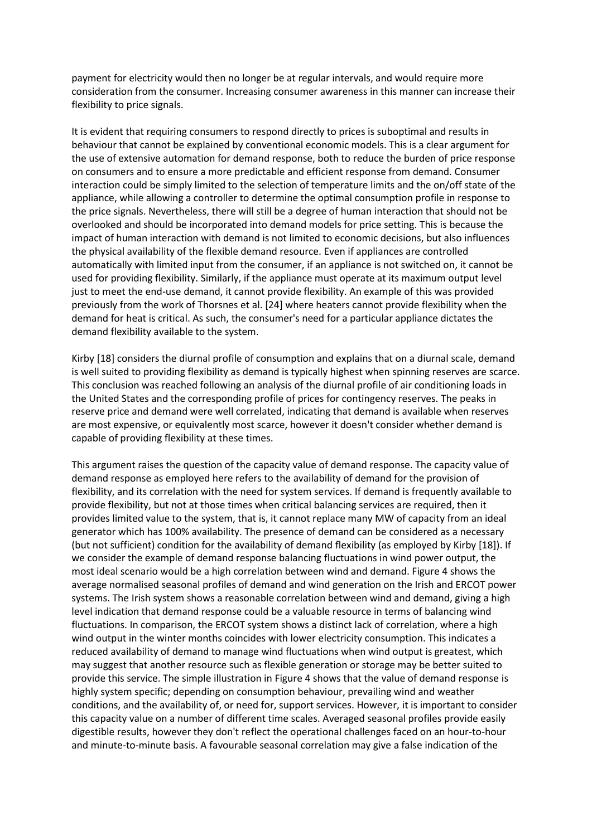payment for electricity would then no longer be at regular intervals, and would require more consideration from the consumer. Increasing consumer awareness in this manner can increase their flexibility to price signals.

It is evident that requiring consumers to respond directly to prices is suboptimal and results in behaviour that cannot be explained by conventional economic models. This is a clear argument for the use of extensive automation for demand response, both to reduce the burden of price response on consumers and to ensure a more predictable and efficient response from demand. Consumer interaction could be simply limited to the selection of temperature limits and the on/off state of the appliance, while allowing a controller to determine the optimal consumption profile in response to the price signals. Nevertheless, there will still be a degree of human interaction that should not be overlooked and should be incorporated into demand models for price setting. This is because the impact of human interaction with demand is not limited to economic decisions, but also influences the physical availability of the flexible demand resource. Even if appliances are controlled automatically with limited input from the consumer, if an appliance is not switched on, it cannot be used for providing flexibility. Similarly, if the appliance must operate at its maximum output level just to meet the end-use demand, it cannot provide flexibility. An example of this was provided previously from the work of Thorsnes et al. [24] where heaters cannot provide flexibility when the demand for heat is critical. As such, the consumer's need for a particular appliance dictates the demand flexibility available to the system.

Kirby [18] considers the diurnal profile of consumption and explains that on a diurnal scale, demand is well suited to providing flexibility as demand is typically highest when spinning reserves are scarce. This conclusion was reached following an analysis of the diurnal profile of air conditioning loads in the United States and the corresponding profile of prices for contingency reserves. The peaks in reserve price and demand were well correlated, indicating that demand is available when reserves are most expensive, or equivalently most scarce, however it doesn't consider whether demand is capable of providing flexibility at these times.

This argument raises the question of the capacity value of demand response. The capacity value of demand response as employed here refers to the availability of demand for the provision of flexibility, and its correlation with the need for system services. If demand is frequently available to provide flexibility, but not at those times when critical balancing services are required, then it provides limited value to the system, that is, it cannot replace many MW of capacity from an ideal generator which has 100% availability. The presence of demand can be considered as a necessary (but not sufficient) condition for the availability of demand flexibility (as employed by Kirby [18]). If we consider the example of demand response balancing fluctuations in wind power output, the most ideal scenario would be a high correlation between wind and demand. Figure 4 shows the average normalised seasonal profiles of demand and wind generation on the Irish and ERCOT power systems. The Irish system shows a reasonable correlation between wind and demand, giving a high level indication that demand response could be a valuable resource in terms of balancing wind fluctuations. In comparison, the ERCOT system shows a distinct lack of correlation, where a high wind output in the winter months coincides with lower electricity consumption. This indicates a reduced availability of demand to manage wind fluctuations when wind output is greatest, which may suggest that another resource such as flexible generation or storage may be better suited to provide this service. The simple illustration in Figure 4 shows that the value of demand response is highly system specific; depending on consumption behaviour, prevailing wind and weather conditions, and the availability of, or need for, support services. However, it is important to consider this capacity value on a number of different time scales. Averaged seasonal profiles provide easily digestible results, however they don't reflect the operational challenges faced on an hour-to-hour and minute-to-minute basis. A favourable seasonal correlation may give a false indication of the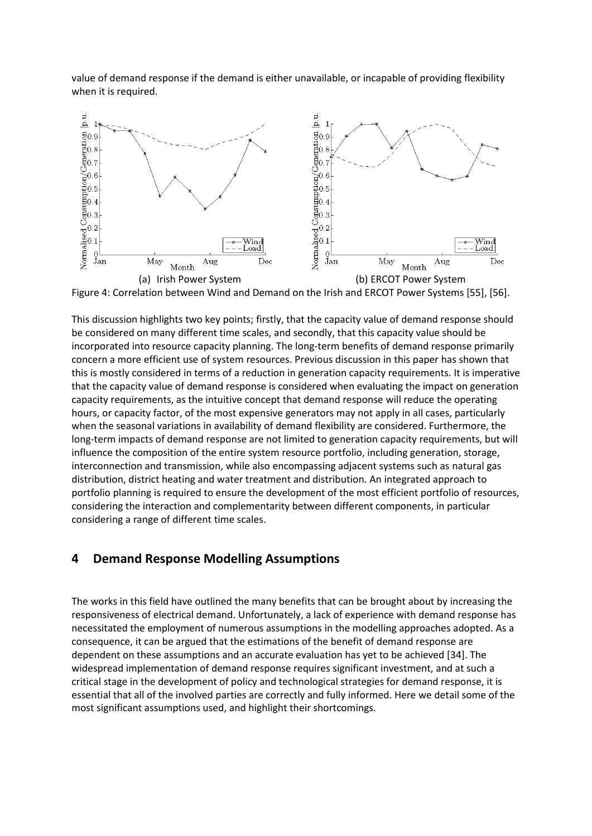value of demand response if the demand is either unavailable, or incapable of providing flexibility when it is required.



Figure 4: Correlation between Wind and Demand on the Irish and ERCOT Power Systems [55], [56].

This discussion highlights two key points; firstly, that the capacity value of demand response should be considered on many different time scales, and secondly, that this capacity value should be incorporated into resource capacity planning. The long-term benefits of demand response primarily concern a more efficient use of system resources. Previous discussion in this paper has shown that this is mostly considered in terms of a reduction in generation capacity requirements. It is imperative that the capacity value of demand response is considered when evaluating the impact on generation capacity requirements, as the intuitive concept that demand response will reduce the operating hours, or capacity factor, of the most expensive generators may not apply in all cases, particularly when the seasonal variations in availability of demand flexibility are considered. Furthermore, the long-term impacts of demand response are not limited to generation capacity requirements, but will influence the composition of the entire system resource portfolio, including generation, storage, interconnection and transmission, while also encompassing adjacent systems such as natural gas distribution, district heating and water treatment and distribution. An integrated approach to portfolio planning is required to ensure the development of the most efficient portfolio of resources, considering the interaction and complementarity between different components, in particular considering a range of different time scales.

#### **4 Demand Response Modelling Assumptions**

The works in this field have outlined the many benefits that can be brought about by increasing the responsiveness of electrical demand. Unfortunately, a lack of experience with demand response has necessitated the employment of numerous assumptions in the modelling approaches adopted. As a consequence, it can be argued that the estimations of the benefit of demand response are dependent on these assumptions and an accurate evaluation has yet to be achieved [34]. The widespread implementation of demand response requires significant investment, and at such a critical stage in the development of policy and technological strategies for demand response, it is essential that all of the involved parties are correctly and fully informed. Here we detail some of the most significant assumptions used, and highlight their shortcomings.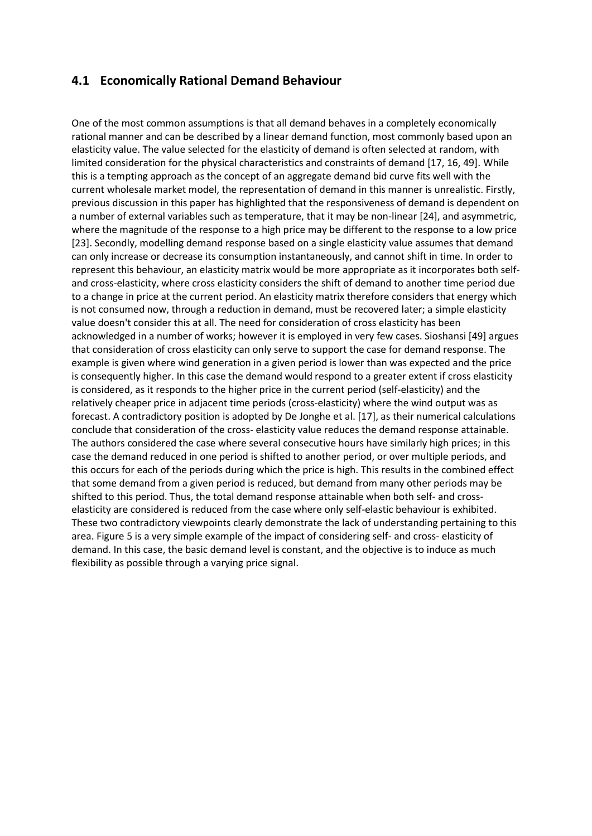#### **4.1 Economically Rational Demand Behaviour**

One of the most common assumptions is that all demand behaves in a completely economically rational manner and can be described by a linear demand function, most commonly based upon an elasticity value. The value selected for the elasticity of demand is often selected at random, with limited consideration for the physical characteristics and constraints of demand [17, 16, 49]. While this is a tempting approach as the concept of an aggregate demand bid curve fits well with the current wholesale market model, the representation of demand in this manner is unrealistic. Firstly, previous discussion in this paper has highlighted that the responsiveness of demand is dependent on a number of external variables such as temperature, that it may be non-linear [24], and asymmetric, where the magnitude of the response to a high price may be different to the response to a low price [23]. Secondly, modelling demand response based on a single elasticity value assumes that demand can only increase or decrease its consumption instantaneously, and cannot shift in time. In order to represent this behaviour, an elasticity matrix would be more appropriate as it incorporates both selfand cross-elasticity, where cross elasticity considers the shift of demand to another time period due to a change in price at the current period. An elasticity matrix therefore considers that energy which is not consumed now, through a reduction in demand, must be recovered later; a simple elasticity value doesn't consider this at all. The need for consideration of cross elasticity has been acknowledged in a number of works; however it is employed in very few cases. Sioshansi [49] argues that consideration of cross elasticity can only serve to support the case for demand response. The example is given where wind generation in a given period is lower than was expected and the price is consequently higher. In this case the demand would respond to a greater extent if cross elasticity is considered, as it responds to the higher price in the current period (self-elasticity) and the relatively cheaper price in adjacent time periods (cross-elasticity) where the wind output was as forecast. A contradictory position is adopted by De Jonghe et al. [17], as their numerical calculations conclude that consideration of the cross- elasticity value reduces the demand response attainable. The authors considered the case where several consecutive hours have similarly high prices; in this case the demand reduced in one period is shifted to another period, or over multiple periods, and this occurs for each of the periods during which the price is high. This results in the combined effect that some demand from a given period is reduced, but demand from many other periods may be shifted to this period. Thus, the total demand response attainable when both self- and crosselasticity are considered is reduced from the case where only self-elastic behaviour is exhibited. These two contradictory viewpoints clearly demonstrate the lack of understanding pertaining to this area. Figure 5 is a very simple example of the impact of considering self- and cross- elasticity of demand. In this case, the basic demand level is constant, and the objective is to induce as much flexibility as possible through a varying price signal.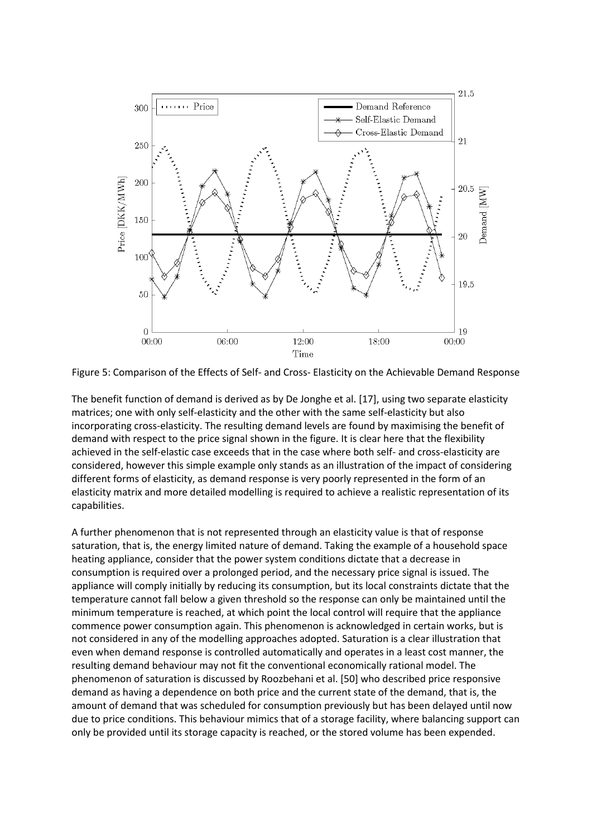

Figure 5: Comparison of the Effects of Self- and Cross- Elasticity on the Achievable Demand Response

The benefit function of demand is derived as by De Jonghe et al. [17], using two separate elasticity matrices; one with only self-elasticity and the other with the same self-elasticity but also incorporating cross-elasticity. The resulting demand levels are found by maximising the benefit of demand with respect to the price signal shown in the figure. It is clear here that the flexibility achieved in the self-elastic case exceeds that in the case where both self- and cross-elasticity are considered, however this simple example only stands as an illustration of the impact of considering different forms of elasticity, as demand response is very poorly represented in the form of an elasticity matrix and more detailed modelling is required to achieve a realistic representation of its capabilities.

A further phenomenon that is not represented through an elasticity value is that of response saturation, that is, the energy limited nature of demand. Taking the example of a household space heating appliance, consider that the power system conditions dictate that a decrease in consumption is required over a prolonged period, and the necessary price signal is issued. The appliance will comply initially by reducing its consumption, but its local constraints dictate that the temperature cannot fall below a given threshold so the response can only be maintained until the minimum temperature is reached, at which point the local control will require that the appliance commence power consumption again. This phenomenon is acknowledged in certain works, but is not considered in any of the modelling approaches adopted. Saturation is a clear illustration that even when demand response is controlled automatically and operates in a least cost manner, the resulting demand behaviour may not fit the conventional economically rational model. The phenomenon of saturation is discussed by Roozbehani et al. [50] who described price responsive demand as having a dependence on both price and the current state of the demand, that is, the amount of demand that was scheduled for consumption previously but has been delayed until now due to price conditions. This behaviour mimics that of a storage facility, where balancing support can only be provided until its storage capacity is reached, or the stored volume has been expended.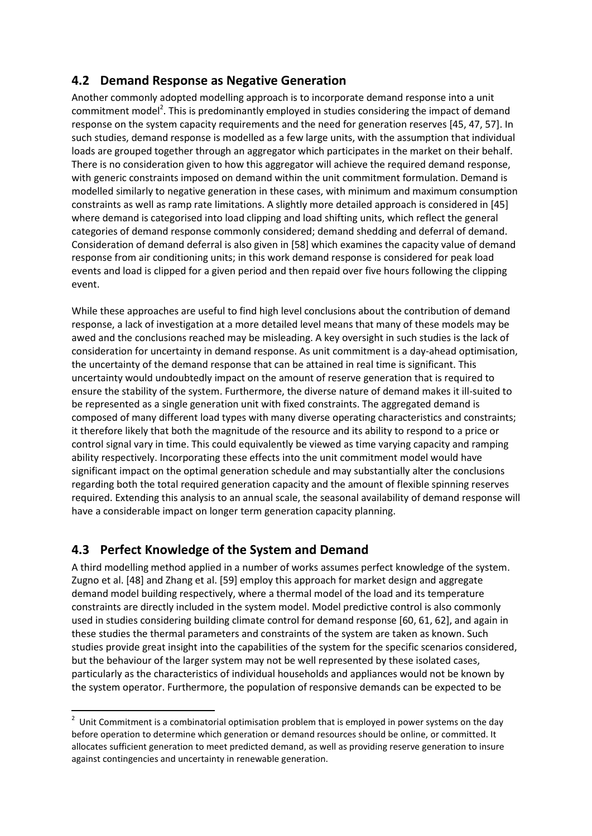## **4.2 Demand Response as Negative Generation**

Another commonly adopted modelling approach is to incorporate demand response into a unit commitment model<sup>2</sup>. This is predominantly employed in studies considering the impact of demand response on the system capacity requirements and the need for generation reserves [45, 47, 57]. In such studies, demand response is modelled as a few large units, with the assumption that individual loads are grouped together through an aggregator which participates in the market on their behalf. There is no consideration given to how this aggregator will achieve the required demand response, with generic constraints imposed on demand within the unit commitment formulation. Demand is modelled similarly to negative generation in these cases, with minimum and maximum consumption constraints as well as ramp rate limitations. A slightly more detailed approach is considered in [45] where demand is categorised into load clipping and load shifting units, which reflect the general categories of demand response commonly considered; demand shedding and deferral of demand. Consideration of demand deferral is also given in [58] which examines the capacity value of demand response from air conditioning units; in this work demand response is considered for peak load events and load is clipped for a given period and then repaid over five hours following the clipping event.

While these approaches are useful to find high level conclusions about the contribution of demand response, a lack of investigation at a more detailed level means that many of these models may be awed and the conclusions reached may be misleading. A key oversight in such studies is the lack of consideration for uncertainty in demand response. As unit commitment is a day-ahead optimisation, the uncertainty of the demand response that can be attained in real time is significant. This uncertainty would undoubtedly impact on the amount of reserve generation that is required to ensure the stability of the system. Furthermore, the diverse nature of demand makes it ill-suited to be represented as a single generation unit with fixed constraints. The aggregated demand is composed of many different load types with many diverse operating characteristics and constraints; it therefore likely that both the magnitude of the resource and its ability to respond to a price or control signal vary in time. This could equivalently be viewed as time varying capacity and ramping ability respectively. Incorporating these effects into the unit commitment model would have significant impact on the optimal generation schedule and may substantially alter the conclusions regarding both the total required generation capacity and the amount of flexible spinning reserves required. Extending this analysis to an annual scale, the seasonal availability of demand response will have a considerable impact on longer term generation capacity planning.

## **4.3 Perfect Knowledge of the System and Demand**

A third modelling method applied in a number of works assumes perfect knowledge of the system. Zugno et al. [48] and Zhang et al. [59] employ this approach for market design and aggregate demand model building respectively, where a thermal model of the load and its temperature constraints are directly included in the system model. Model predictive control is also commonly used in studies considering building climate control for demand response [60, 61, 62], and again in these studies the thermal parameters and constraints of the system are taken as known. Such studies provide great insight into the capabilities of the system for the specific scenarios considered, but the behaviour of the larger system may not be well represented by these isolated cases, particularly as the characteristics of individual households and appliances would not be known by the system operator. Furthermore, the population of responsive demands can be expected to be

 2 Unit Commitment is a combinatorial optimisation problem that is employed in power systems on the day before operation to determine which generation or demand resources should be online, or committed. It allocates sufficient generation to meet predicted demand, as well as providing reserve generation to insure against contingencies and uncertainty in renewable generation.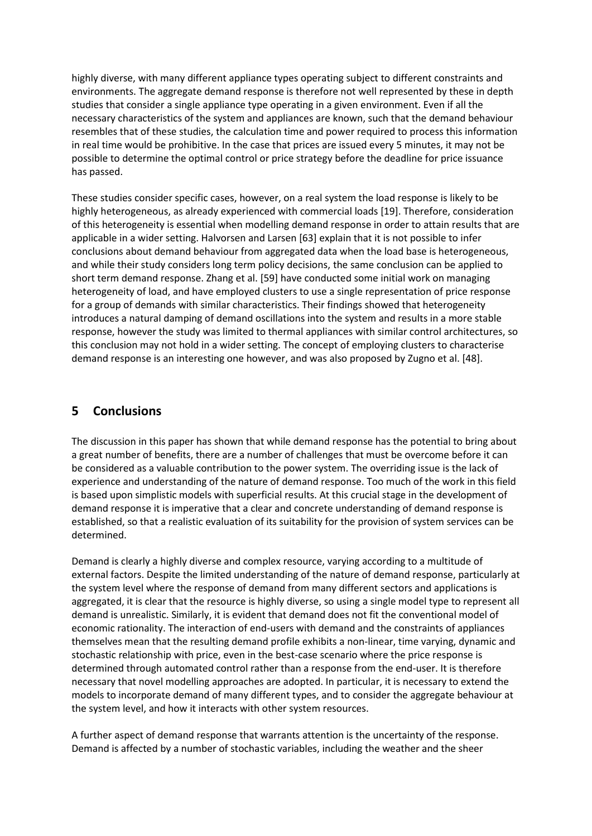highly diverse, with many different appliance types operating subject to different constraints and environments. The aggregate demand response is therefore not well represented by these in depth studies that consider a single appliance type operating in a given environment. Even if all the necessary characteristics of the system and appliances are known, such that the demand behaviour resembles that of these studies, the calculation time and power required to process this information in real time would be prohibitive. In the case that prices are issued every 5 minutes, it may not be possible to determine the optimal control or price strategy before the deadline for price issuance has passed.

These studies consider specific cases, however, on a real system the load response is likely to be highly heterogeneous, as already experienced with commercial loads [19]. Therefore, consideration of this heterogeneity is essential when modelling demand response in order to attain results that are applicable in a wider setting. Halvorsen and Larsen [63] explain that it is not possible to infer conclusions about demand behaviour from aggregated data when the load base is heterogeneous, and while their study considers long term policy decisions, the same conclusion can be applied to short term demand response. Zhang et al. [59] have conducted some initial work on managing heterogeneity of load, and have employed clusters to use a single representation of price response for a group of demands with similar characteristics. Their findings showed that heterogeneity introduces a natural damping of demand oscillations into the system and results in a more stable response, however the study was limited to thermal appliances with similar control architectures, so this conclusion may not hold in a wider setting. The concept of employing clusters to characterise demand response is an interesting one however, and was also proposed by Zugno et al. [48].

#### **5 Conclusions**

The discussion in this paper has shown that while demand response has the potential to bring about a great number of benefits, there are a number of challenges that must be overcome before it can be considered as a valuable contribution to the power system. The overriding issue is the lack of experience and understanding of the nature of demand response. Too much of the work in this field is based upon simplistic models with superficial results. At this crucial stage in the development of demand response it is imperative that a clear and concrete understanding of demand response is established, so that a realistic evaluation of its suitability for the provision of system services can be determined.

Demand is clearly a highly diverse and complex resource, varying according to a multitude of external factors. Despite the limited understanding of the nature of demand response, particularly at the system level where the response of demand from many different sectors and applications is aggregated, it is clear that the resource is highly diverse, so using a single model type to represent all demand is unrealistic. Similarly, it is evident that demand does not fit the conventional model of economic rationality. The interaction of end-users with demand and the constraints of appliances themselves mean that the resulting demand profile exhibits a non-linear, time varying, dynamic and stochastic relationship with price, even in the best-case scenario where the price response is determined through automated control rather than a response from the end-user. It is therefore necessary that novel modelling approaches are adopted. In particular, it is necessary to extend the models to incorporate demand of many different types, and to consider the aggregate behaviour at the system level, and how it interacts with other system resources.

A further aspect of demand response that warrants attention is the uncertainty of the response. Demand is affected by a number of stochastic variables, including the weather and the sheer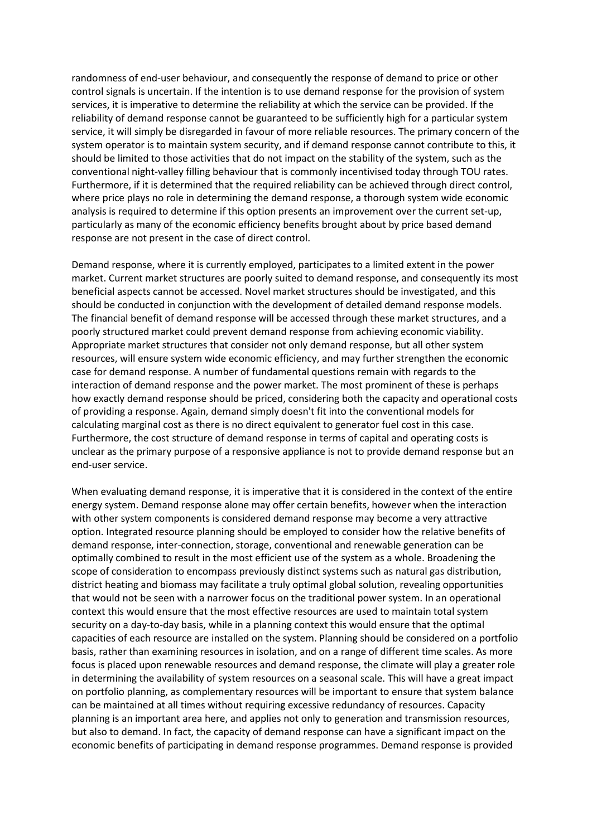randomness of end-user behaviour, and consequently the response of demand to price or other control signals is uncertain. If the intention is to use demand response for the provision of system services, it is imperative to determine the reliability at which the service can be provided. If the reliability of demand response cannot be guaranteed to be sufficiently high for a particular system service, it will simply be disregarded in favour of more reliable resources. The primary concern of the system operator is to maintain system security, and if demand response cannot contribute to this, it should be limited to those activities that do not impact on the stability of the system, such as the conventional night-valley filling behaviour that is commonly incentivised today through TOU rates. Furthermore, if it is determined that the required reliability can be achieved through direct control, where price plays no role in determining the demand response, a thorough system wide economic analysis is required to determine if this option presents an improvement over the current set-up, particularly as many of the economic efficiency benefits brought about by price based demand response are not present in the case of direct control.

Demand response, where it is currently employed, participates to a limited extent in the power market. Current market structures are poorly suited to demand response, and consequently its most beneficial aspects cannot be accessed. Novel market structures should be investigated, and this should be conducted in conjunction with the development of detailed demand response models. The financial benefit of demand response will be accessed through these market structures, and a poorly structured market could prevent demand response from achieving economic viability. Appropriate market structures that consider not only demand response, but all other system resources, will ensure system wide economic efficiency, and may further strengthen the economic case for demand response. A number of fundamental questions remain with regards to the interaction of demand response and the power market. The most prominent of these is perhaps how exactly demand response should be priced, considering both the capacity and operational costs of providing a response. Again, demand simply doesn't fit into the conventional models for calculating marginal cost as there is no direct equivalent to generator fuel cost in this case. Furthermore, the cost structure of demand response in terms of capital and operating costs is unclear as the primary purpose of a responsive appliance is not to provide demand response but an end-user service.

When evaluating demand response, it is imperative that it is considered in the context of the entire energy system. Demand response alone may offer certain benefits, however when the interaction with other system components is considered demand response may become a very attractive option. Integrated resource planning should be employed to consider how the relative benefits of demand response, inter-connection, storage, conventional and renewable generation can be optimally combined to result in the most efficient use of the system as a whole. Broadening the scope of consideration to encompass previously distinct systems such as natural gas distribution, district heating and biomass may facilitate a truly optimal global solution, revealing opportunities that would not be seen with a narrower focus on the traditional power system. In an operational context this would ensure that the most effective resources are used to maintain total system security on a day-to-day basis, while in a planning context this would ensure that the optimal capacities of each resource are installed on the system. Planning should be considered on a portfolio basis, rather than examining resources in isolation, and on a range of different time scales. As more focus is placed upon renewable resources and demand response, the climate will play a greater role in determining the availability of system resources on a seasonal scale. This will have a great impact on portfolio planning, as complementary resources will be important to ensure that system balance can be maintained at all times without requiring excessive redundancy of resources. Capacity planning is an important area here, and applies not only to generation and transmission resources, but also to demand. In fact, the capacity of demand response can have a significant impact on the economic benefits of participating in demand response programmes. Demand response is provided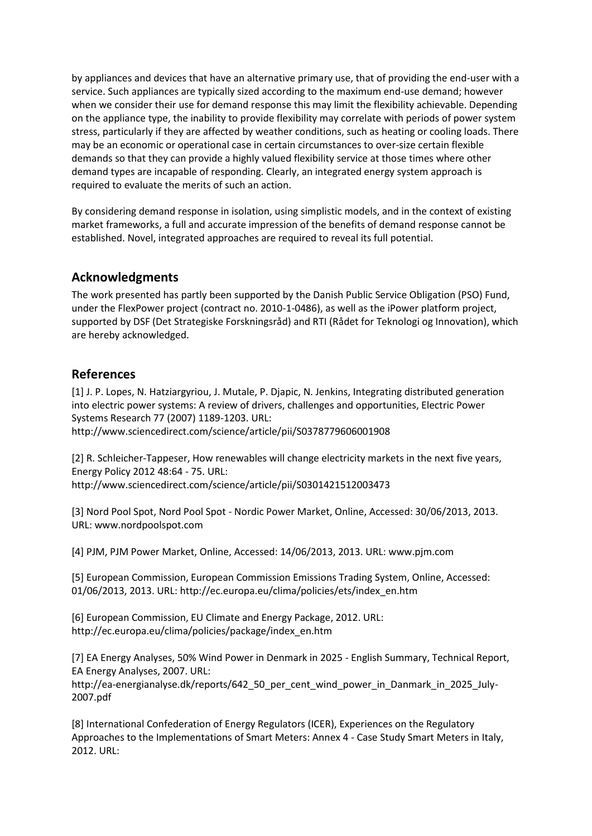by appliances and devices that have an alternative primary use, that of providing the end-user with a service. Such appliances are typically sized according to the maximum end-use demand; however when we consider their use for demand response this may limit the flexibility achievable. Depending on the appliance type, the inability to provide flexibility may correlate with periods of power system stress, particularly if they are affected by weather conditions, such as heating or cooling loads. There may be an economic or operational case in certain circumstances to over-size certain flexible demands so that they can provide a highly valued flexibility service at those times where other demand types are incapable of responding. Clearly, an integrated energy system approach is required to evaluate the merits of such an action.

By considering demand response in isolation, using simplistic models, and in the context of existing market frameworks, a full and accurate impression of the benefits of demand response cannot be established. Novel, integrated approaches are required to reveal its full potential.

## **Acknowledgments**

The work presented has partly been supported by the Danish Public Service Obligation (PSO) Fund, under the FlexPower project (contract no. 2010-1-0486), as well as the iPower platform project, supported by DSF (Det Strategiske Forskningsråd) and RTI (Rådet for Teknologi og Innovation), which are hereby acknowledged.

#### **References**

[1] J. P. Lopes, N. Hatziargyriou, J. Mutale, P. Djapic, N. Jenkins, Integrating distributed generation into electric power systems: A review of drivers, challenges and opportunities, Electric Power Systems Research 77 (2007) 1189-1203. URL: <http://www.sciencedirect.com/science/article/pii/S0378779606001908>

[2] R. Schleicher-Tappeser, How renewables will change electricity markets in the next five years, Energy Policy 2012 48:64 - 75. URL: <http://www.sciencedirect.com/science/article/pii/S0301421512003473>

[3] Nord Pool Spot, Nord Pool Spot - Nordic Power Market, Online, Accessed: 30/06/2013, 2013. URL: [www.nordpoolspot.com](http://www.nordpoolspot.com/)

[4] PJM, PJM Power Market, Online, Accessed: 14/06/2013, 2013. URL: [www.pjm.com](http://www.pjm.com/)

[5] European Commission, European Commission Emissions Trading System, Online, Accessed: 01/06/2013, 2013. URL: [http://ec.europa.eu/clima/policies/ets/index\\_en.htm](http://ec.europa.eu/clima/policies/ets/index_en.htm)

[6] European Commission, EU Climate and Energy Package, 2012. URL: [http://ec.europa.eu/clima/policies/package/index\\_en.htm](http://ec.europa.eu/clima/policies/package/index_en.htm)

[7] EA Energy Analyses, 50% Wind Power in Denmark in 2025 - English Summary, Technical Report, EA Energy Analyses, 2007. URL:

[http://ea-energianalyse.dk/reports/642\\_50\\_per\\_cent\\_wind\\_power\\_in\\_Danmark\\_in\\_2025\\_July-](http://ea-energianalyse.dk/reports/642_50_per_cent_wind_power_in_Danmark_in_2025_July-2007.pdf)[2007.pdf](http://ea-energianalyse.dk/reports/642_50_per_cent_wind_power_in_Danmark_in_2025_July-2007.pdf)

[8] International Confederation of Energy Regulators (ICER), Experiences on the Regulatory Approaches to the Implementations of Smart Meters: Annex 4 - Case Study Smart Meters in Italy, 2012. URL: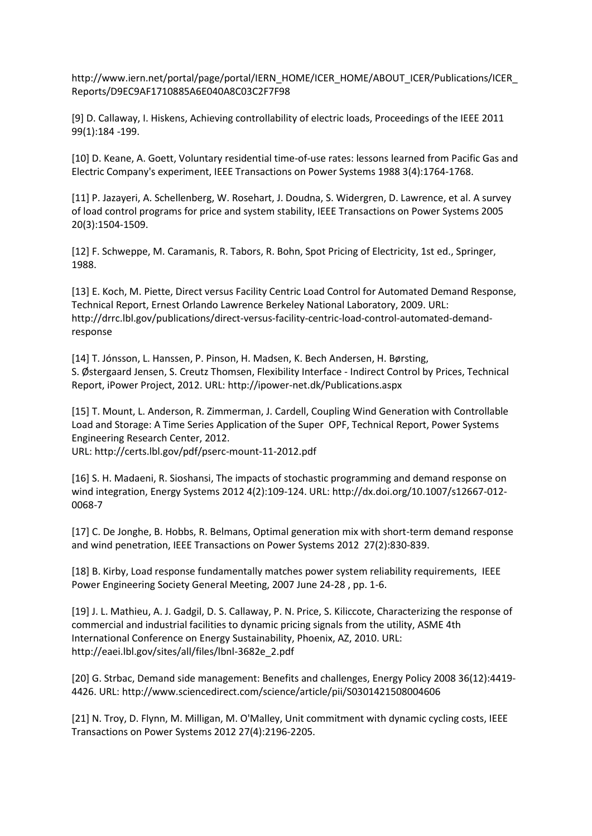[http://www.iern.net/portal/page/portal/IERN\\_HOME/ICER\\_HOME/ABOUT\\_ICER/Publications/ICER\\_](http://www.iern.net/portal/page/portal/IERN_HOME/ICER_HOME/ABOUT_ICER/Publications/ICER_Reports/D9EC9AF1710885A6E040A8C03C2F7F98) [Reports/D9EC9AF1710885A6E040A8C03C2F7F98](http://www.iern.net/portal/page/portal/IERN_HOME/ICER_HOME/ABOUT_ICER/Publications/ICER_Reports/D9EC9AF1710885A6E040A8C03C2F7F98)

[9] D. Callaway, I. Hiskens, Achieving controllability of electric loads, Proceedings of the IEEE 2011 99(1):184 -199.

[10] D. Keane, A. Goett, Voluntary residential time-of-use rates: lessons learned from Pacific Gas and Electric Company's experiment, IEEE Transactions on Power Systems 1988 3(4):1764-1768.

[11] P. Jazayeri, A. Schellenberg, W. Rosehart, J. Doudna, S. Widergren, D. Lawrence, et al. A survey of load control programs for price and system stability, IEEE Transactions on Power Systems 2005 20(3):1504-1509.

[12] F. Schweppe, M. Caramanis, R. Tabors, R. Bohn, Spot Pricing of Electricity, 1st ed., Springer, 1988.

[13] E. Koch, M. Piette, Direct versus Facility Centric Load Control for Automated Demand Response, Technical Report, Ernest Orlando Lawrence Berkeley National Laboratory, 2009. URL: [http://drrc.lbl.gov/publications/direct-versus-facility-centric-load-control-automated-demand](http://drrc.lbl.gov/publications/direct-versus-facility-centric-load-control-automated-demand-response)[response](http://drrc.lbl.gov/publications/direct-versus-facility-centric-load-control-automated-demand-response)

[14] T. Jónsson, L. Hanssen, P. Pinson, H. Madsen, K. Bech Andersen, H. Børsting, S. Østergaard Jensen, S. Creutz Thomsen, Flexibility Interface - Indirect Control by Prices, Technical Report, iPower Project, 2012. URL:<http://ipower-net.dk/Publications.aspx>

[15] T. Mount, L. Anderson, R. Zimmerman, J. Cardell, Coupling Wind Generation with Controllable Load and Storage: A Time Series Application of the Super OPF, Technical Report, Power Systems Engineering Research Center, 2012.

URL:<http://certs.lbl.gov/pdf/pserc-mount-11-2012.pdf>

[16] S. H. Madaeni, R. Sioshansi, The impacts of stochastic programming and demand response on wind integration, Energy Systems 2012 4(2):109-124. URL: [http://dx.doi.org/10.1007/s12667-012-](http://dx.doi.org/10.1007/s12667-012-0068-7) [0068-7](http://dx.doi.org/10.1007/s12667-012-0068-7) 

[17] C. De Jonghe, B. Hobbs, R. Belmans, Optimal generation mix with short-term demand response and wind penetration, IEEE Transactions on Power Systems 2012 27(2):830-839.

[18] B. Kirby, Load response fundamentally matches power system reliability requirements, IEEE Power Engineering Society General Meeting, 2007 June 24-28 , pp. 1-6.

[19] J. L. Mathieu, A. J. Gadgil, D. S. Callaway, P. N. Price, S. Kiliccote, Characterizing the response of commercial and industrial facilities to dynamic pricing signals from the utility, ASME 4th International Conference on Energy Sustainability, Phoenix, AZ, 2010. URL: [http://eaei.lbl.gov/sites/all/files/lbnl-3682e\\_2.pdf](http://eaei.lbl.gov/sites/all/files/lbnl-3682e_2.pdf) 

[20] G. Strbac, Demand side management: Benefits and challenges, Energy Policy 2008 36(12):4419- 4426. URL[: http://www.sciencedirect.com/science/article/pii/S0301421508004606](http://www.sciencedirect.com/science/article/pii/S0301421508004606)

[21] N. Troy, D. Flynn, M. Milligan, M. O'Malley, Unit commitment with dynamic cycling costs, IEEE Transactions on Power Systems 2012 27(4):2196-2205.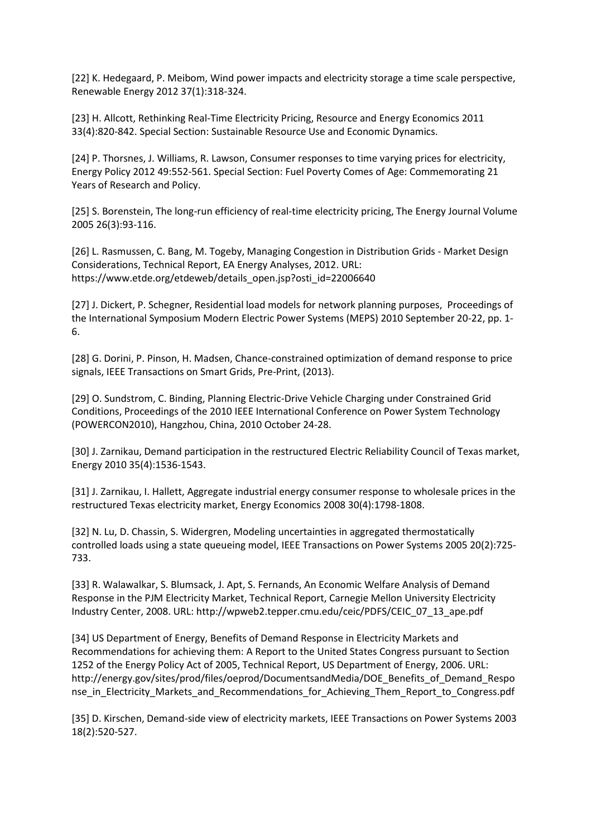[22] K. Hedegaard, P. Meibom, Wind power impacts and electricity storage a time scale perspective, Renewable Energy 2012 37(1):318-324.

[23] H. Allcott, Rethinking Real-Time Electricity Pricing, Resource and Energy Economics 2011 33(4):820-842. Special Section: Sustainable Resource Use and Economic Dynamics.

[24] P. Thorsnes, J. Williams, R. Lawson, Consumer responses to time varying prices for electricity, Energy Policy 2012 49:552-561. Special Section: Fuel Poverty Comes of Age: Commemorating 21 Years of Research and Policy.

[25] S. Borenstein, The long-run efficiency of real-time electricity pricing, The Energy Journal Volume 2005 26(3):93-116.

[26] L. Rasmussen, C. Bang, M. Togeby, Managing Congestion in Distribution Grids - Market Design Considerations, Technical Report, EA Energy Analyses, 2012. URL: [https://www.etde.org/etdeweb/details\\_open.jsp?osti\\_id=22006640](https://www.etde.org/etdeweb/details_open.jsp?osti_id=22006640)

[27] J. Dickert, P. Schegner, Residential load models for network planning purposes, Proceedings of the International Symposium Modern Electric Power Systems (MEPS) 2010 September 20-22, pp. 1- 6.

[28] G. Dorini, P. Pinson, H. Madsen, Chance-constrained optimization of demand response to price signals, IEEE Transactions on Smart Grids, Pre-Print, (2013).

[29] O. Sundstrom, C. Binding, Planning Electric-Drive Vehicle Charging under Constrained Grid Conditions, Proceedings of the 2010 IEEE International Conference on Power System Technology (POWERCON2010), Hangzhou, China, 2010 October 24-28.

[30] J. Zarnikau, Demand participation in the restructured Electric Reliability Council of Texas market, Energy 2010 35(4):1536-1543.

[31] J. Zarnikau, I. Hallett, Aggregate industrial energy consumer response to wholesale prices in the restructured Texas electricity market, Energy Economics 2008 30(4):1798-1808.

[32] N. Lu, D. Chassin, S. Widergren, Modeling uncertainties in aggregated thermostatically controlled loads using a state queueing model, IEEE Transactions on Power Systems 2005 20(2):725- 733.

[33] R. Walawalkar, S. Blumsack, J. Apt, S. Fernands, An Economic Welfare Analysis of Demand Response in the PJM Electricity Market, Technical Report, Carnegie Mellon University Electricity Industry Center, 2008. URL: [http://wpweb2.tepper.cmu.edu/ceic/PDFS/CEIC\\_07\\_13\\_ape.pdf](http://wpweb2.tepper.cmu.edu/ceic/PDFS/CEIC_07_13_ape.pdf)

[34] US Department of Energy, Benefits of Demand Response in Electricity Markets and Recommendations for achieving them: A Report to the United States Congress pursuant to Section 1252 of the Energy Policy Act of 2005, Technical Report, US Department of Energy, 2006. URL: [http://energy.gov/sites/prod/files/oeprod/DocumentsandMedia/DOE\\_Benefits\\_of\\_Demand\\_Respo](http://energy.gov/sites/prod/files/oeprod/DocumentsandMedia/DOE_Benefits_of_Demand_Response_in_Electricity_Markets_and_Recommendations_for_Achieving_Them_Report_to_Congress.pdf) nse in Electricity Markets and Recommendations for Achieving Them Report to Congress.pdf

[35] D. Kirschen, Demand-side view of electricity markets, IEEE Transactions on Power Systems 2003 18(2):520-527.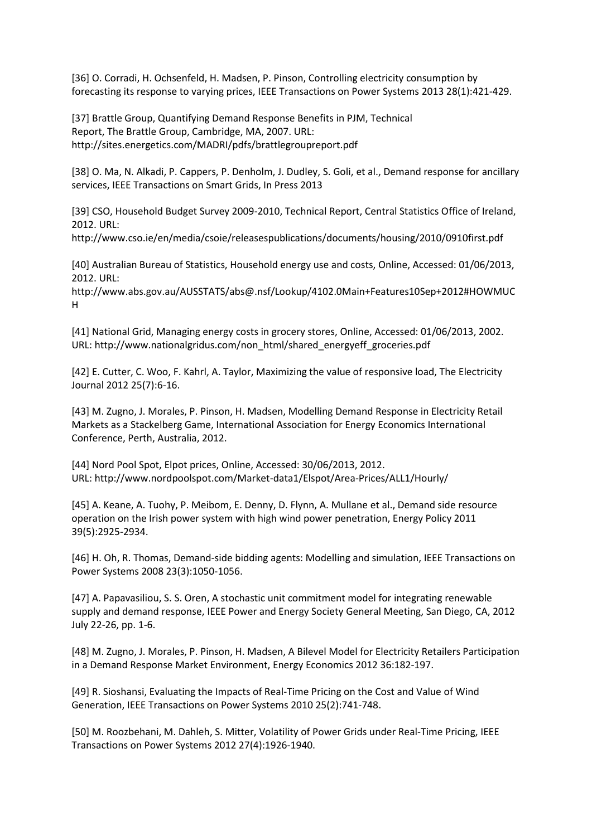[36] O. Corradi, H. Ochsenfeld, H. Madsen, P. Pinson, Controlling electricity consumption by forecasting its response to varying prices, IEEE Transactions on Power Systems 2013 28(1):421-429.

[37] Brattle Group, Quantifying Demand Response Benefits in PJM, Technical Report, The Brattle Group, Cambridge, MA, 2007. URL: <http://sites.energetics.com/MADRI/pdfs/brattlegroupreport.pdf>

[38] O. Ma, N. Alkadi, P. Cappers, P. Denholm, J. Dudley, S. Goli, et al., Demand response for ancillary services, IEEE Transactions on Smart Grids, In Press 2013

[39] CSO, Household Budget Survey 2009-2010, Technical Report, Central Statistics Office of Ireland, 2012. URL:

<http://www.cso.ie/en/media/csoie/releasespublications/documents/housing/2010/0910first.pdf>

[40] Australian Bureau of Statistics, Household energy use and costs, Online, Accessed: 01/06/2013, 2012. URL:

[http://www.abs.gov.au/AUSSTATS/abs@.nsf/Lookup/4102.0Main+Features10Sep+2012#HOWMUC](http://www.abs.gov.au/AUSSTATS/abs@.nsf/Lookup/4102.0Main+Features10Sep+2012#HOWMUCH) [H](http://www.abs.gov.au/AUSSTATS/abs@.nsf/Lookup/4102.0Main+Features10Sep+2012#HOWMUCH)

[41] National Grid, Managing energy costs in grocery stores, Online, Accessed: 01/06/2013, 2002. URL: [http://www.nationalgridus.com/non\\_html/shared\\_energyeff\\_groceries.pdf](http://www.nationalgridus.com/non_html/shared_energyeff_groceries.pdf)

[42] E. Cutter, C. Woo, F. Kahrl, A. Taylor, Maximizing the value of responsive load, The Electricity Journal 2012 25(7):6-16.

[43] M. Zugno, J. Morales, P. Pinson, H. Madsen, Modelling Demand Response in Electricity Retail Markets as a Stackelberg Game, International Association for Energy Economics International Conference, Perth, Australia, 2012.

[44] Nord Pool Spot, Elpot prices, Online, Accessed: 30/06/2013, 2012. URL:<http://www.nordpoolspot.com/Market-data1/Elspot/Area-Prices/ALL1/Hourly/>

[45] A. Keane, A. Tuohy, P. Meibom, E. Denny, D. Flynn, A. Mullane et al., Demand side resource operation on the Irish power system with high wind power penetration, Energy Policy 2011 39(5):2925-2934.

[46] H. Oh, R. Thomas, Demand-side bidding agents: Modelling and simulation, IEEE Transactions on Power Systems 2008 23(3):1050-1056.

[47] A. Papavasiliou, S. S. Oren, A stochastic unit commitment model for integrating renewable supply and demand response, IEEE Power and Energy Society General Meeting, San Diego, CA, 2012 July 22-26, pp. 1-6.

[48] M. Zugno, J. Morales, P. Pinson, H. Madsen, A Bilevel Model for Electricity Retailers Participation in a Demand Response Market Environment, Energy Economics 2012 36:182-197.

[49] R. Sioshansi, Evaluating the Impacts of Real-Time Pricing on the Cost and Value of Wind Generation, IEEE Transactions on Power Systems 2010 25(2):741-748.

[50] M. Roozbehani, M. Dahleh, S. Mitter, Volatility of Power Grids under Real-Time Pricing, IEEE Transactions on Power Systems 2012 27(4):1926-1940.